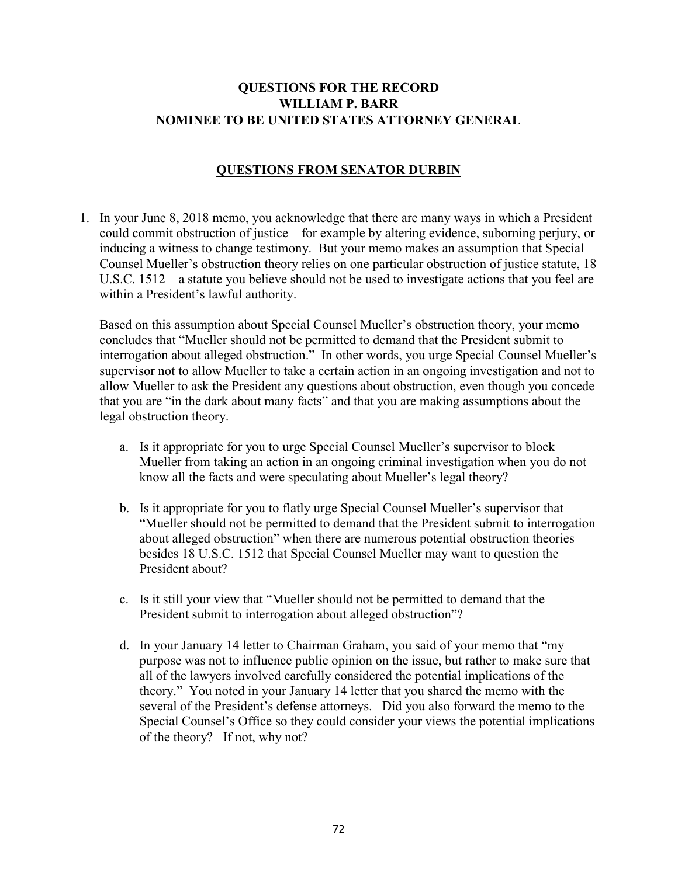# QUESTIONS FOR THE RECORD WILLIAM P. BARR NOMINEE TO BE UNITED STATES ATTORNEY GENERAL

## QUESTIONS FROM SENATOR DURBIN

1. In your June 8, 2018 memo, you acknowledge that there are many ways in which a President could commit obstruction of justice – for example by altering evidence, suborning perjury, or inducing a witness to change testimony. But your memo makes an assumption that Special Counsel Mueller's obstruction theory relies on one particular obstruction of justice statute, 18 U.S.C. 1512—a statute you believe should not be used to investigate actions that you feel are within a President's lawful authority.

Based on this assumption about Special Counsel Mueller's obstruction theory, your memo concludes that "Mueller should not be permitted to demand that the President submit to interrogation about alleged obstruction." In other words, you urge Special Counsel Mueller's supervisor not to allow Mueller to take a certain action in an ongoing investigation and not to allow Mueller to ask the President any questions about obstruction, even though you concede that you are "in the dark about many facts" and that you are making assumptions about the legal obstruction theory.

- a. Is it appropriate for you to urge Special Counsel Mueller's supervisor to block Mueller from taking an action in an ongoing criminal investigation when you do not know all the facts and were speculating about Mueller's legal theory?
- b. Is it appropriate for you to flatly urge Special Counsel Mueller's supervisor that "Mueller should not be permitted to demand that the President submit to interrogation about alleged obstruction" when there are numerous potential obstruction theories besides 18 U.S.C. 1512 that Special Counsel Mueller may want to question the President about?
- c. Is it still your view that "Mueller should not be permitted to demand that the President submit to interrogation about alleged obstruction"?
- d. In your January 14 letter to Chairman Graham, you said of your memo that "my purpose was not to influence public opinion on the issue, but rather to make sure that all of the lawyers involved carefully considered the potential implications of the theory." You noted in your January 14 letter that you shared the memo with the several of the President's defense attorneys. Did you also forward the memo to the Special Counsel's Office so they could consider your views the potential implications of the theory? If not, why not?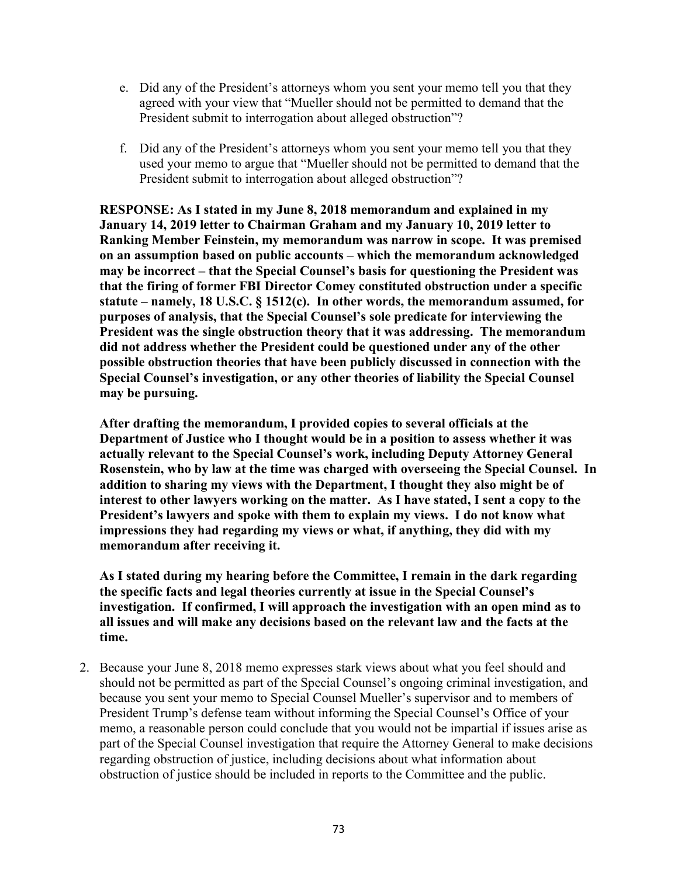- e. Did any of the President's attorneys whom you sent your memo tell you that they agreed with your view that "Mueller should not be permitted to demand that the President submit to interrogation about alleged obstruction"?
- f. Did any of the President's attorneys whom you sent your memo tell you that they used your memo to argue that "Mueller should not be permitted to demand that the President submit to interrogation about alleged obstruction"?

RESPONSE: As I stated in my June 8, 2018 memorandum and explained in my January 14, 2019 letter to Chairman Graham and my January 10, 2019 letter to Ranking Member Feinstein, my memorandum was narrow in scope. It was premised on an assumption based on public accounts – which the memorandum acknowledged may be incorrect – that the Special Counsel's basis for questioning the President was that the firing of former FBI Director Comey constituted obstruction under a specific statute – namely, 18 U.S.C. § 1512(c). In other words, the memorandum assumed, for purposes of analysis, that the Special Counsel's sole predicate for interviewing the President was the single obstruction theory that it was addressing. The memorandum did not address whether the President could be questioned under any of the other possible obstruction theories that have been publicly discussed in connection with the Special Counsel's investigation, or any other theories of liability the Special Counsel may be pursuing.

After drafting the memorandum, I provided copies to several officials at the Department of Justice who I thought would be in a position to assess whether it was actually relevant to the Special Counsel's work, including Deputy Attorney General Rosenstein, who by law at the time was charged with overseeing the Special Counsel. In addition to sharing my views with the Department, I thought they also might be of interest to other lawyers working on the matter. As I have stated, I sent a copy to the President's lawyers and spoke with them to explain my views. I do not know what impressions they had regarding my views or what, if anything, they did with my memorandum after receiving it.

As I stated during my hearing before the Committee, I remain in the dark regarding the specific facts and legal theories currently at issue in the Special Counsel's investigation. If confirmed, I will approach the investigation with an open mind as to all issues and will make any decisions based on the relevant law and the facts at the time.

2. Because your June 8, 2018 memo expresses stark views about what you feel should and should not be permitted as part of the Special Counsel's ongoing criminal investigation, and because you sent your memo to Special Counsel Mueller's supervisor and to members of President Trump's defense team without informing the Special Counsel's Office of your memo, a reasonable person could conclude that you would not be impartial if issues arise as part of the Special Counsel investigation that require the Attorney General to make decisions regarding obstruction of justice, including decisions about what information about obstruction of justice should be included in reports to the Committee and the public.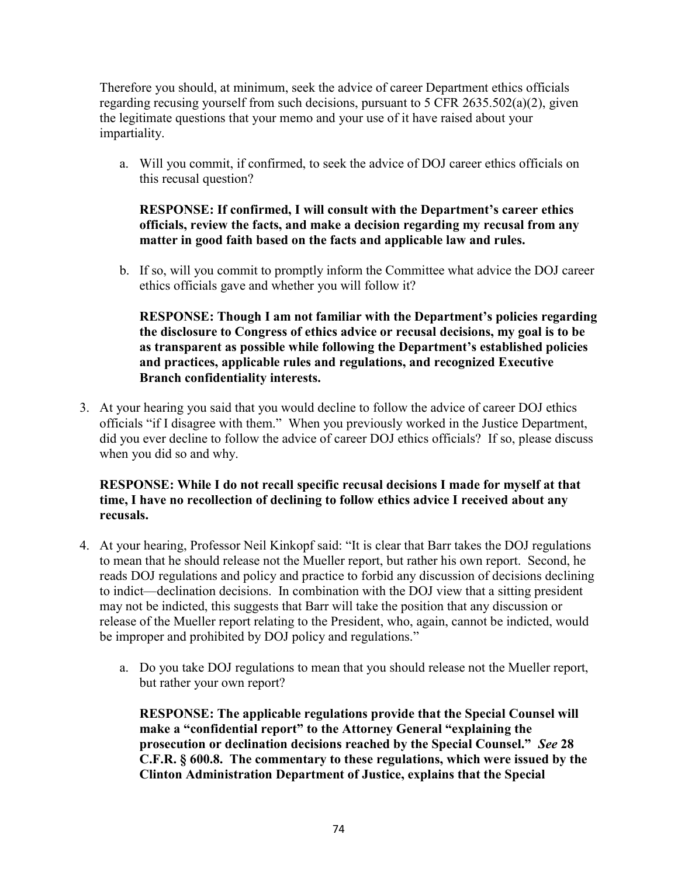Therefore you should, at minimum, seek the advice of career Department ethics officials regarding recusing yourself from such decisions, pursuant to 5 CFR 2635.502(a)(2), given the legitimate questions that your memo and your use of it have raised about your impartiality.

a. Will you commit, if confirmed, to seek the advice of DOJ career ethics officials on this recusal question?

RESPONSE: If confirmed, I will consult with the Department's career ethics officials, review the facts, and make a decision regarding my recusal from any matter in good faith based on the facts and applicable law and rules.

b. If so, will you commit to promptly inform the Committee what advice the DOJ career ethics officials gave and whether you will follow it?

RESPONSE: Though I am not familiar with the Department's policies regarding the disclosure to Congress of ethics advice or recusal decisions, my goal is to be as transparent as possible while following the Department's established policies and practices, applicable rules and regulations, and recognized Executive Branch confidentiality interests.

3. At your hearing you said that you would decline to follow the advice of career DOJ ethics officials "if I disagree with them." When you previously worked in the Justice Department, did you ever decline to follow the advice of career DOJ ethics officials? If so, please discuss when you did so and why.

## RESPONSE: While I do not recall specific recusal decisions I made for myself at that time, I have no recollection of declining to follow ethics advice I received about any recusals.

- 4. At your hearing, Professor Neil Kinkopf said: "It is clear that Barr takes the DOJ regulations to mean that he should release not the Mueller report, but rather his own report. Second, he reads DOJ regulations and policy and practice to forbid any discussion of decisions declining to indict—declination decisions. In combination with the DOJ view that a sitting president may not be indicted, this suggests that Barr will take the position that any discussion or release of the Mueller report relating to the President, who, again, cannot be indicted, would be improper and prohibited by DOJ policy and regulations."
	- a. Do you take DOJ regulations to mean that you should release not the Mueller report, but rather your own report?

RESPONSE: The applicable regulations provide that the Special Counsel will make a "confidential report" to the Attorney General "explaining the prosecution or declination decisions reached by the Special Counsel." See 28 C.F.R. § 600.8. The commentary to these regulations, which were issued by the Clinton Administration Department of Justice, explains that the Special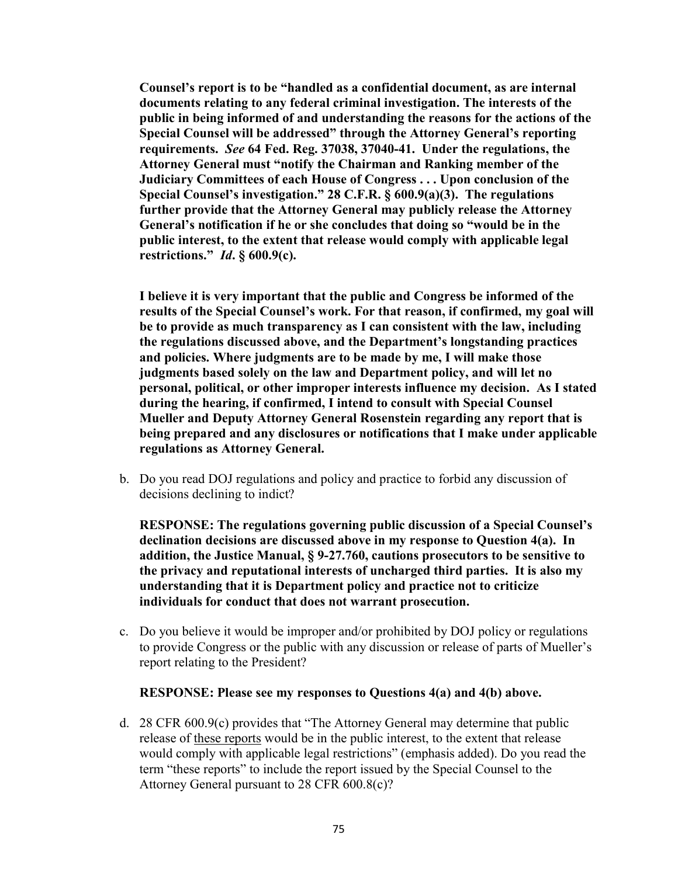Counsel's report is to be "handled as a confidential document, as are internal documents relating to any federal criminal investigation. The interests of the public in being informed of and understanding the reasons for the actions of the Special Counsel will be addressed" through the Attorney General's reporting requirements. See 64 Fed. Reg. 37038, 37040-41. Under the regulations, the Attorney General must "notify the Chairman and Ranking member of the Judiciary Committees of each House of Congress . . . Upon conclusion of the Special Counsel's investigation." 28 C.F.R. § 600.9(a)(3). The regulations further provide that the Attorney General may publicly release the Attorney General's notification if he or she concludes that doing so "would be in the public interest, to the extent that release would comply with applicable legal restrictions." *Id.*  $\S$  600.9(c).

I believe it is very important that the public and Congress be informed of the results of the Special Counsel's work. For that reason, if confirmed, my goal will be to provide as much transparency as I can consistent with the law, including the regulations discussed above, and the Department's longstanding practices and policies. Where judgments are to be made by me, I will make those judgments based solely on the law and Department policy, and will let no personal, political, or other improper interests influence my decision. As I stated during the hearing, if confirmed, I intend to consult with Special Counsel Mueller and Deputy Attorney General Rosenstein regarding any report that is being prepared and any disclosures or notifications that I make under applicable regulations as Attorney General.

b. Do you read DOJ regulations and policy and practice to forbid any discussion of decisions declining to indict?

RESPONSE: The regulations governing public discussion of a Special Counsel's declination decisions are discussed above in my response to Question 4(a). In addition, the Justice Manual, § 9-27.760, cautions prosecutors to be sensitive to the privacy and reputational interests of uncharged third parties. It is also my understanding that it is Department policy and practice not to criticize individuals for conduct that does not warrant prosecution.

c. Do you believe it would be improper and/or prohibited by DOJ policy or regulations to provide Congress or the public with any discussion or release of parts of Mueller's report relating to the President?

#### RESPONSE: Please see my responses to Questions 4(a) and 4(b) above.

d. 28 CFR 600.9(c) provides that "The Attorney General may determine that public release of these reports would be in the public interest, to the extent that release would comply with applicable legal restrictions" (emphasis added). Do you read the term "these reports" to include the report issued by the Special Counsel to the Attorney General pursuant to 28 CFR 600.8(c)?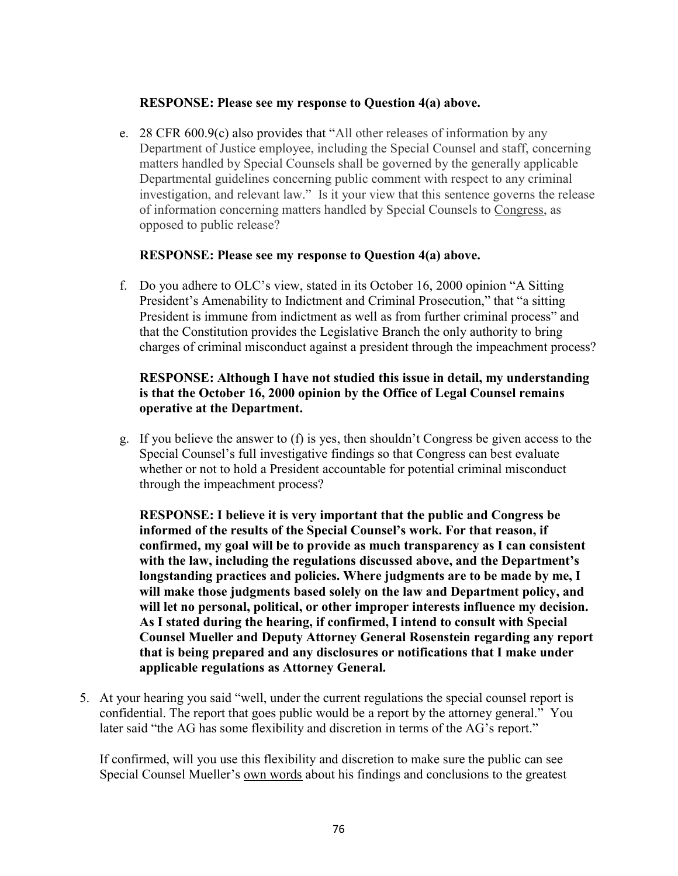### RESPONSE: Please see my response to Question 4(a) above.

e. 28 CFR 600.9(c) also provides that "All other releases of information by any Department of Justice employee, including the Special Counsel and staff, concerning matters handled by Special Counsels shall be governed by the generally applicable Departmental guidelines concerning public comment with respect to any criminal investigation, and relevant law." Is it your view that this sentence governs the release of information concerning matters handled by Special Counsels to Congress, as opposed to public release?

#### RESPONSE: Please see my response to Question 4(a) above.

f. Do you adhere to OLC's view, stated in its October 16, 2000 opinion "A Sitting President's Amenability to Indictment and Criminal Prosecution," that "a sitting President is immune from indictment as well as from further criminal process" and that the Constitution provides the Legislative Branch the only authority to bring charges of criminal misconduct against a president through the impeachment process?

## RESPONSE: Although I have not studied this issue in detail, my understanding is that the October 16, 2000 opinion by the Office of Legal Counsel remains operative at the Department.

g. If you believe the answer to (f) is yes, then shouldn't Congress be given access to the Special Counsel's full investigative findings so that Congress can best evaluate whether or not to hold a President accountable for potential criminal misconduct through the impeachment process?

RESPONSE: I believe it is very important that the public and Congress be informed of the results of the Special Counsel's work. For that reason, if confirmed, my goal will be to provide as much transparency as I can consistent with the law, including the regulations discussed above, and the Department's longstanding practices and policies. Where judgments are to be made by me, I will make those judgments based solely on the law and Department policy, and will let no personal, political, or other improper interests influence my decision. As I stated during the hearing, if confirmed, I intend to consult with Special Counsel Mueller and Deputy Attorney General Rosenstein regarding any report that is being prepared and any disclosures or notifications that I make under applicable regulations as Attorney General.

5. At your hearing you said "well, under the current regulations the special counsel report is confidential. The report that goes public would be a report by the attorney general." You later said "the AG has some flexibility and discretion in terms of the AG's report."

If confirmed, will you use this flexibility and discretion to make sure the public can see Special Counsel Mueller's own words about his findings and conclusions to the greatest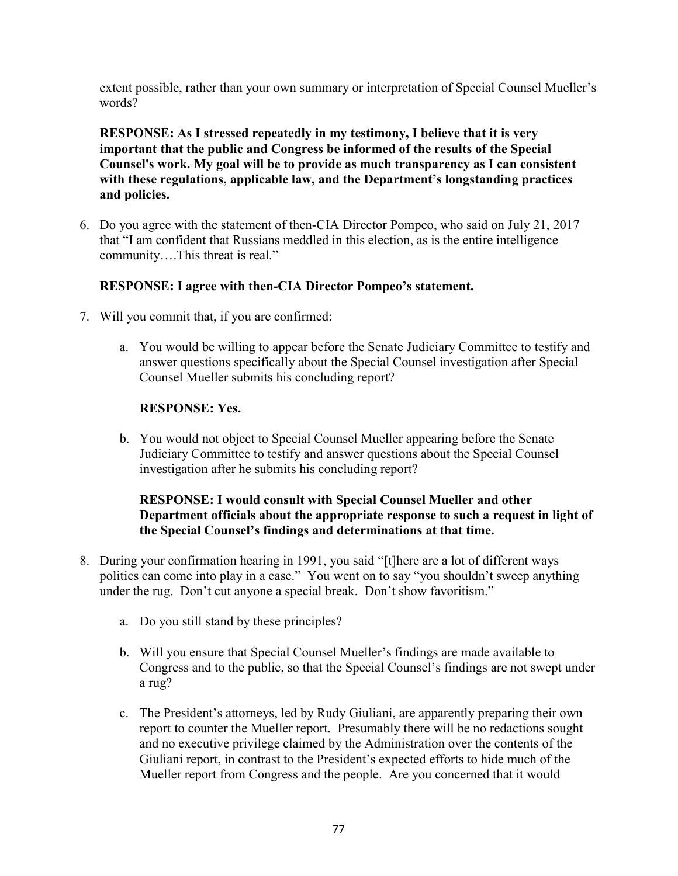extent possible, rather than your own summary or interpretation of Special Counsel Mueller's words?

RESPONSE: As I stressed repeatedly in my testimony, I believe that it is very important that the public and Congress be informed of the results of the Special Counsel's work. My goal will be to provide as much transparency as I can consistent with these regulations, applicable law, and the Department's longstanding practices and policies.

6. Do you agree with the statement of then-CIA Director Pompeo, who said on July 21, 2017 that "I am confident that Russians meddled in this election, as is the entire intelligence community….This threat is real."

# RESPONSE: I agree with then-CIA Director Pompeo's statement.

- 7. Will you commit that, if you are confirmed:
	- a. You would be willing to appear before the Senate Judiciary Committee to testify and answer questions specifically about the Special Counsel investigation after Special Counsel Mueller submits his concluding report?

## RESPONSE: Yes.

b. You would not object to Special Counsel Mueller appearing before the Senate Judiciary Committee to testify and answer questions about the Special Counsel investigation after he submits his concluding report?

## RESPONSE: I would consult with Special Counsel Mueller and other Department officials about the appropriate response to such a request in light of the Special Counsel's findings and determinations at that time.

- 8. During your confirmation hearing in 1991, you said "[t]here are a lot of different ways politics can come into play in a case." You went on to say "you shouldn't sweep anything under the rug. Don't cut anyone a special break. Don't show favoritism."
	- a. Do you still stand by these principles?
	- b. Will you ensure that Special Counsel Mueller's findings are made available to Congress and to the public, so that the Special Counsel's findings are not swept under a rug?
	- c. The President's attorneys, led by Rudy Giuliani, are apparently preparing their own report to counter the Mueller report. Presumably there will be no redactions sought and no executive privilege claimed by the Administration over the contents of the Giuliani report, in contrast to the President's expected efforts to hide much of the Mueller report from Congress and the people. Are you concerned that it would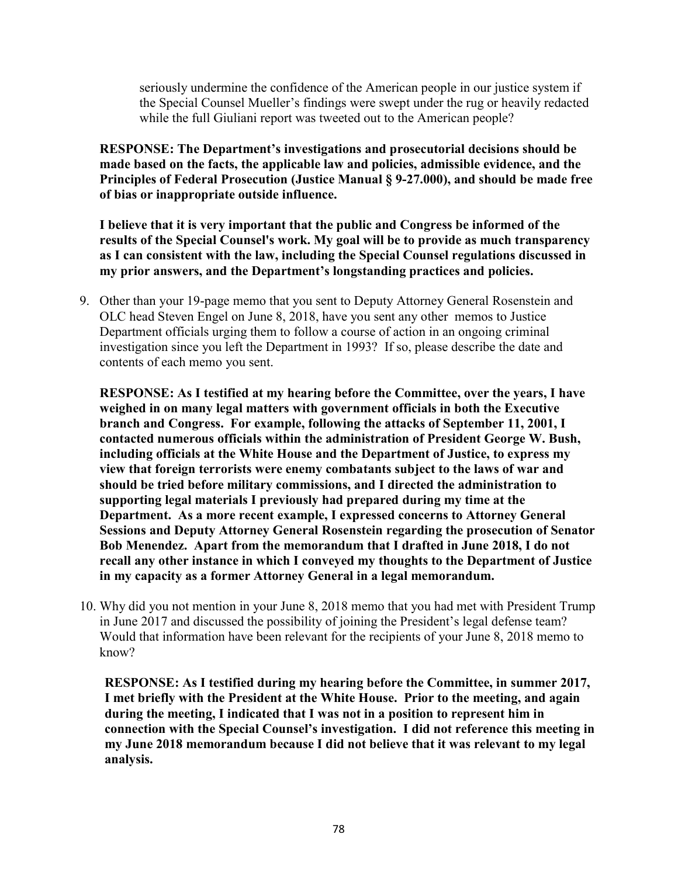seriously undermine the confidence of the American people in our justice system if the Special Counsel Mueller's findings were swept under the rug or heavily redacted while the full Giuliani report was tweeted out to the American people?

RESPONSE: The Department's investigations and prosecutorial decisions should be made based on the facts, the applicable law and policies, admissible evidence, and the Principles of Federal Prosecution (Justice Manual § 9-27.000), and should be made free of bias or inappropriate outside influence.

I believe that it is very important that the public and Congress be informed of the results of the Special Counsel's work. My goal will be to provide as much transparency as I can consistent with the law, including the Special Counsel regulations discussed in my prior answers, and the Department's longstanding practices and policies.

9. Other than your 19-page memo that you sent to Deputy Attorney General Rosenstein and OLC head Steven Engel on June 8, 2018, have you sent any other memos to Justice Department officials urging them to follow a course of action in an ongoing criminal investigation since you left the Department in 1993? If so, please describe the date and contents of each memo you sent.

RESPONSE: As I testified at my hearing before the Committee, over the years, I have weighed in on many legal matters with government officials in both the Executive branch and Congress. For example, following the attacks of September 11, 2001, I contacted numerous officials within the administration of President George W. Bush, including officials at the White House and the Department of Justice, to express my view that foreign terrorists were enemy combatants subject to the laws of war and should be tried before military commissions, and I directed the administration to supporting legal materials I previously had prepared during my time at the Department. As a more recent example, I expressed concerns to Attorney General Sessions and Deputy Attorney General Rosenstein regarding the prosecution of Senator Bob Menendez. Apart from the memorandum that I drafted in June 2018, I do not recall any other instance in which I conveyed my thoughts to the Department of Justice in my capacity as a former Attorney General in a legal memorandum.

10. Why did you not mention in your June 8, 2018 memo that you had met with President Trump in June 2017 and discussed the possibility of joining the President's legal defense team? Would that information have been relevant for the recipients of your June 8, 2018 memo to know?

RESPONSE: As I testified during my hearing before the Committee, in summer 2017, I met briefly with the President at the White House. Prior to the meeting, and again during the meeting, I indicated that I was not in a position to represent him in connection with the Special Counsel's investigation. I did not reference this meeting in my June 2018 memorandum because I did not believe that it was relevant to my legal analysis.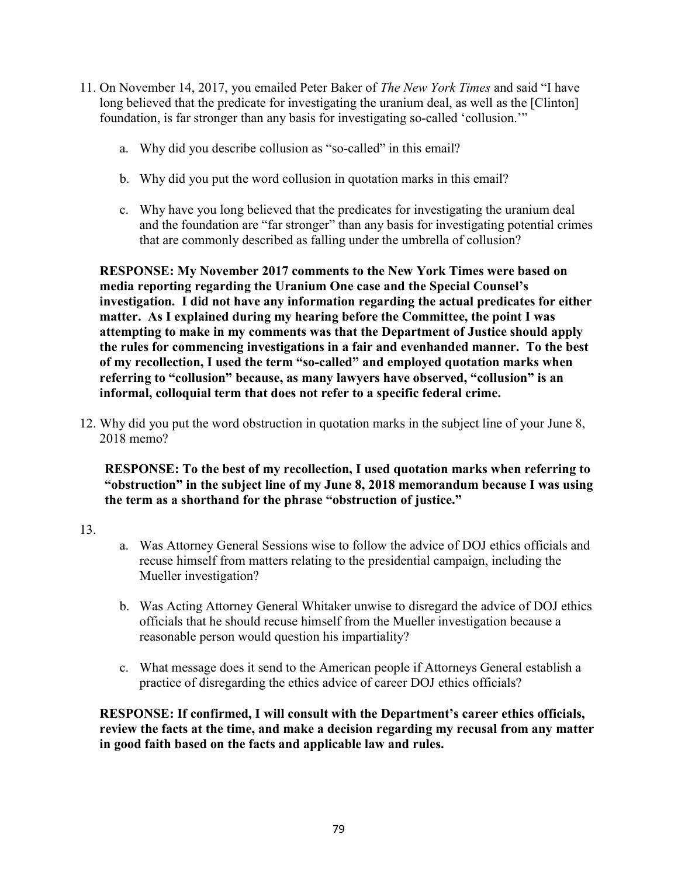- 11. On November 14, 2017, you emailed Peter Baker of The New York Times and said "I have long believed that the predicate for investigating the uranium deal, as well as the [Clinton] foundation, is far stronger than any basis for investigating so-called 'collusion.'"
	- a. Why did you describe collusion as "so-called" in this email?
	- b. Why did you put the word collusion in quotation marks in this email?
	- c. Why have you long believed that the predicates for investigating the uranium deal and the foundation are "far stronger" than any basis for investigating potential crimes that are commonly described as falling under the umbrella of collusion?

RESPONSE: My November 2017 comments to the New York Times were based on media reporting regarding the Uranium One case and the Special Counsel's investigation. I did not have any information regarding the actual predicates for either matter. As I explained during my hearing before the Committee, the point I was attempting to make in my comments was that the Department of Justice should apply the rules for commencing investigations in a fair and evenhanded manner. To the best of my recollection, I used the term "so-called" and employed quotation marks when referring to "collusion" because, as many lawyers have observed, "collusion" is an informal, colloquial term that does not refer to a specific federal crime.

12. Why did you put the word obstruction in quotation marks in the subject line of your June 8, 2018 memo?

RESPONSE: To the best of my recollection, I used quotation marks when referring to "obstruction" in the subject line of my June 8, 2018 memorandum because I was using the term as a shorthand for the phrase "obstruction of justice."

- 13.
- a. Was Attorney General Sessions wise to follow the advice of DOJ ethics officials and recuse himself from matters relating to the presidential campaign, including the Mueller investigation?
- b. Was Acting Attorney General Whitaker unwise to disregard the advice of DOJ ethics officials that he should recuse himself from the Mueller investigation because a reasonable person would question his impartiality?
- c. What message does it send to the American people if Attorneys General establish a practice of disregarding the ethics advice of career DOJ ethics officials?

RESPONSE: If confirmed, I will consult with the Department's career ethics officials, review the facts at the time, and make a decision regarding my recusal from any matter in good faith based on the facts and applicable law and rules.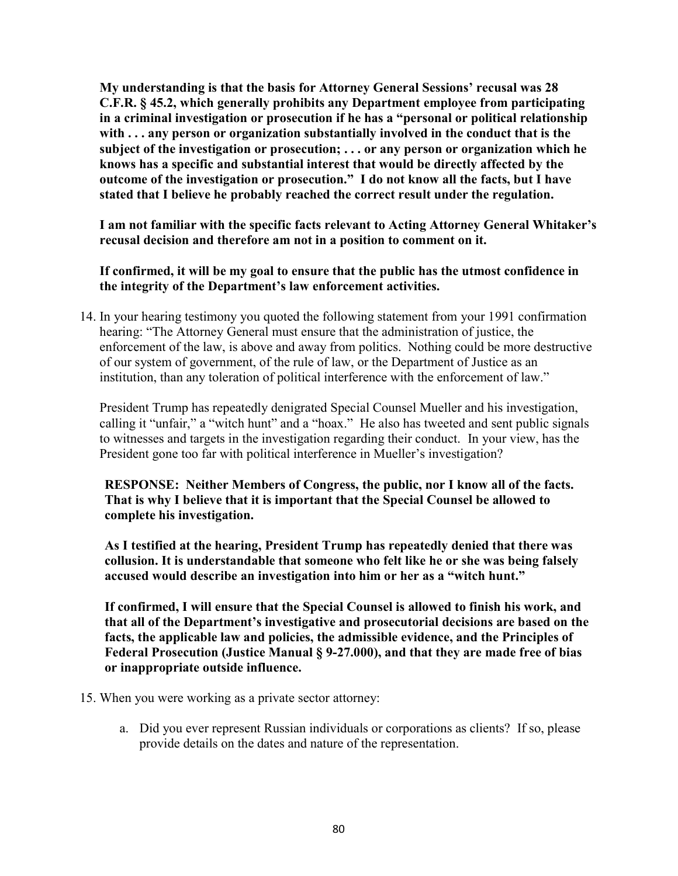My understanding is that the basis for Attorney General Sessions' recusal was 28 C.F.R. § 45.2, which generally prohibits any Department employee from participating in a criminal investigation or prosecution if he has a "personal or political relationship with ... any person or organization substantially involved in the conduct that is the subject of the investigation or prosecution; . . . or any person or organization which he knows has a specific and substantial interest that would be directly affected by the outcome of the investigation or prosecution." I do not know all the facts, but I have stated that I believe he probably reached the correct result under the regulation.

I am not familiar with the specific facts relevant to Acting Attorney General Whitaker's recusal decision and therefore am not in a position to comment on it.

If confirmed, it will be my goal to ensure that the public has the utmost confidence in the integrity of the Department's law enforcement activities.

14. In your hearing testimony you quoted the following statement from your 1991 confirmation hearing: "The Attorney General must ensure that the administration of justice, the enforcement of the law, is above and away from politics. Nothing could be more destructive of our system of government, of the rule of law, or the Department of Justice as an institution, than any toleration of political interference with the enforcement of law."

President Trump has repeatedly denigrated Special Counsel Mueller and his investigation, calling it "unfair," a "witch hunt" and a "hoax." He also has tweeted and sent public signals to witnesses and targets in the investigation regarding their conduct. In your view, has the President gone too far with political interference in Mueller's investigation?

RESPONSE: Neither Members of Congress, the public, nor I know all of the facts. That is why I believe that it is important that the Special Counsel be allowed to complete his investigation.

As I testified at the hearing, President Trump has repeatedly denied that there was collusion. It is understandable that someone who felt like he or she was being falsely accused would describe an investigation into him or her as a "witch hunt."

If confirmed, I will ensure that the Special Counsel is allowed to finish his work, and that all of the Department's investigative and prosecutorial decisions are based on the facts, the applicable law and policies, the admissible evidence, and the Principles of Federal Prosecution (Justice Manual § 9-27.000), and that they are made free of bias or inappropriate outside influence.

- 15. When you were working as a private sector attorney:
	- a. Did you ever represent Russian individuals or corporations as clients? If so, please provide details on the dates and nature of the representation.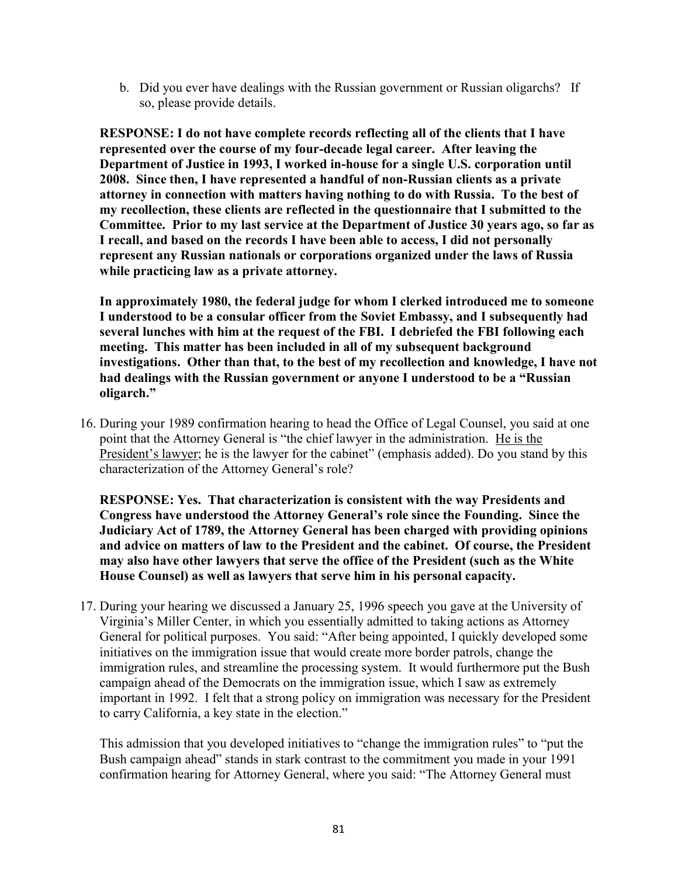b. Did you ever have dealings with the Russian government or Russian oligarchs? If so, please provide details.

RESPONSE: I do not have complete records reflecting all of the clients that I have represented over the course of my four-decade legal career. After leaving the Department of Justice in 1993, I worked in-house for a single U.S. corporation until 2008. Since then, I have represented a handful of non-Russian clients as a private attorney in connection with matters having nothing to do with Russia. To the best of my recollection, these clients are reflected in the questionnaire that I submitted to the Committee. Prior to my last service at the Department of Justice 30 years ago, so far as I recall, and based on the records I have been able to access, I did not personally represent any Russian nationals or corporations organized under the laws of Russia while practicing law as a private attorney.

In approximately 1980, the federal judge for whom I clerked introduced me to someone I understood to be a consular officer from the Soviet Embassy, and I subsequently had several lunches with him at the request of the FBI. I debriefed the FBI following each meeting. This matter has been included in all of my subsequent background investigations. Other than that, to the best of my recollection and knowledge, I have not had dealings with the Russian government or anyone I understood to be a "Russian oligarch."

16. During your 1989 confirmation hearing to head the Office of Legal Counsel, you said at one point that the Attorney General is "the chief lawyer in the administration. He is the President's lawyer; he is the lawyer for the cabinet" (emphasis added). Do you stand by this characterization of the Attorney General's role?

RESPONSE: Yes. That characterization is consistent with the way Presidents and Congress have understood the Attorney General's role since the Founding. Since the Judiciary Act of 1789, the Attorney General has been charged with providing opinions and advice on matters of law to the President and the cabinet. Of course, the President may also have other lawyers that serve the office of the President (such as the White House Counsel) as well as lawyers that serve him in his personal capacity.

17. During your hearing we discussed a January 25, 1996 speech you gave at the University of Virginia's Miller Center, in which you essentially admitted to taking actions as Attorney General for political purposes. You said: "After being appointed, I quickly developed some initiatives on the immigration issue that would create more border patrols, change the immigration rules, and streamline the processing system. It would furthermore put the Bush campaign ahead of the Democrats on the immigration issue, which I saw as extremely important in 1992. I felt that a strong policy on immigration was necessary for the President to carry California, a key state in the election."

This admission that you developed initiatives to "change the immigration rules" to "put the Bush campaign ahead" stands in stark contrast to the commitment you made in your 1991 confirmation hearing for Attorney General, where you said: "The Attorney General must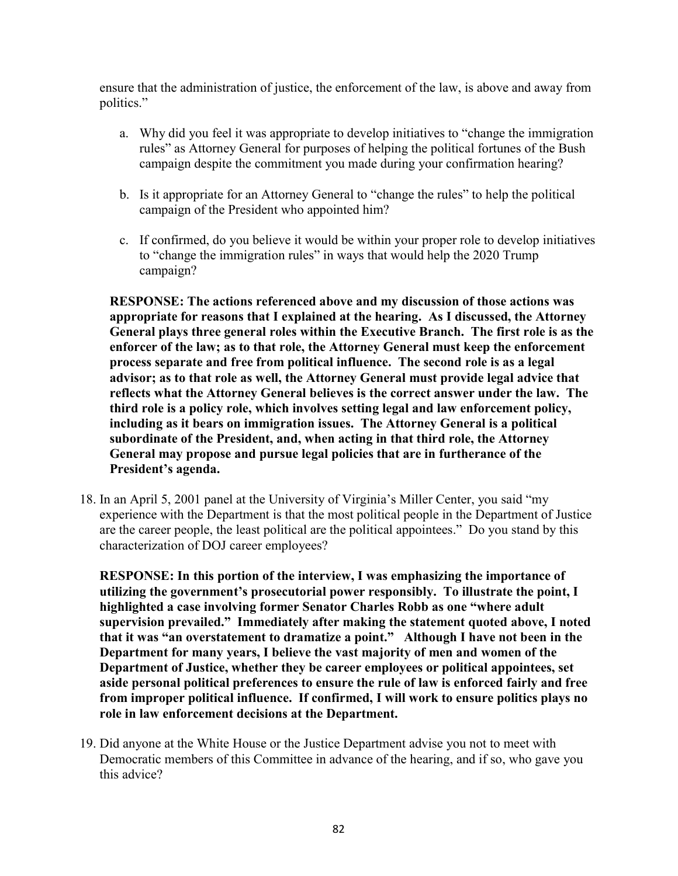ensure that the administration of justice, the enforcement of the law, is above and away from politics."

- a. Why did you feel it was appropriate to develop initiatives to "change the immigration rules" as Attorney General for purposes of helping the political fortunes of the Bush campaign despite the commitment you made during your confirmation hearing?
- b. Is it appropriate for an Attorney General to "change the rules" to help the political campaign of the President who appointed him?
- c. If confirmed, do you believe it would be within your proper role to develop initiatives to "change the immigration rules" in ways that would help the 2020 Trump campaign?

RESPONSE: The actions referenced above and my discussion of those actions was appropriate for reasons that I explained at the hearing. As I discussed, the Attorney General plays three general roles within the Executive Branch. The first role is as the enforcer of the law; as to that role, the Attorney General must keep the enforcement process separate and free from political influence. The second role is as a legal advisor; as to that role as well, the Attorney General must provide legal advice that reflects what the Attorney General believes is the correct answer under the law. The third role is a policy role, which involves setting legal and law enforcement policy, including as it bears on immigration issues. The Attorney General is a political subordinate of the President, and, when acting in that third role, the Attorney General may propose and pursue legal policies that are in furtherance of the President's agenda.

18. In an April 5, 2001 panel at the University of Virginia's Miller Center, you said "my experience with the Department is that the most political people in the Department of Justice are the career people, the least political are the political appointees." Do you stand by this characterization of DOJ career employees?

RESPONSE: In this portion of the interview, I was emphasizing the importance of utilizing the government's prosecutorial power responsibly. To illustrate the point, I highlighted a case involving former Senator Charles Robb as one "where adult supervision prevailed." Immediately after making the statement quoted above, I noted that it was "an overstatement to dramatize a point." Although I have not been in the Department for many years, I believe the vast majority of men and women of the Department of Justice, whether they be career employees or political appointees, set aside personal political preferences to ensure the rule of law is enforced fairly and free from improper political influence. If confirmed, I will work to ensure politics plays no role in law enforcement decisions at the Department.

19. Did anyone at the White House or the Justice Department advise you not to meet with Democratic members of this Committee in advance of the hearing, and if so, who gave you this advice?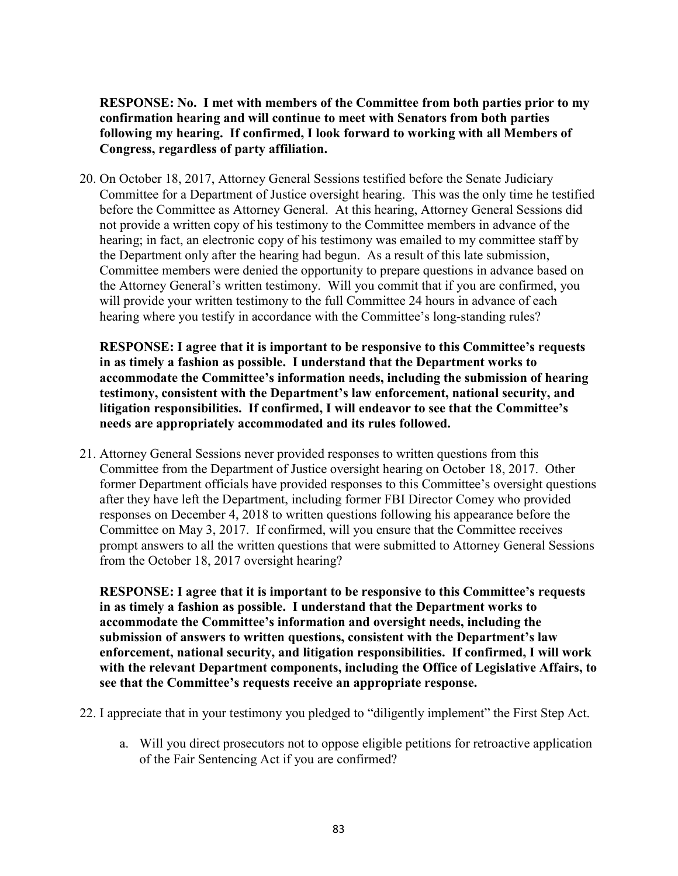RESPONSE: No. I met with members of the Committee from both parties prior to my confirmation hearing and will continue to meet with Senators from both parties following my hearing. If confirmed, I look forward to working with all Members of Congress, regardless of party affiliation.

20. On October 18, 2017, Attorney General Sessions testified before the Senate Judiciary Committee for a Department of Justice oversight hearing. This was the only time he testified before the Committee as Attorney General. At this hearing, Attorney General Sessions did not provide a written copy of his testimony to the Committee members in advance of the hearing; in fact, an electronic copy of his testimony was emailed to my committee staff by the Department only after the hearing had begun. As a result of this late submission, Committee members were denied the opportunity to prepare questions in advance based on the Attorney General's written testimony. Will you commit that if you are confirmed, you will provide your written testimony to the full Committee 24 hours in advance of each hearing where you testify in accordance with the Committee's long-standing rules?

RESPONSE: I agree that it is important to be responsive to this Committee's requests in as timely a fashion as possible. I understand that the Department works to accommodate the Committee's information needs, including the submission of hearing testimony, consistent with the Department's law enforcement, national security, and litigation responsibilities. If confirmed, I will endeavor to see that the Committee's needs are appropriately accommodated and its rules followed.

21. Attorney General Sessions never provided responses to written questions from this Committee from the Department of Justice oversight hearing on October 18, 2017. Other former Department officials have provided responses to this Committee's oversight questions after they have left the Department, including former FBI Director Comey who provided responses on December 4, 2018 to written questions following his appearance before the Committee on May 3, 2017. If confirmed, will you ensure that the Committee receives prompt answers to all the written questions that were submitted to Attorney General Sessions from the October 18, 2017 oversight hearing?

RESPONSE: I agree that it is important to be responsive to this Committee's requests in as timely a fashion as possible. I understand that the Department works to accommodate the Committee's information and oversight needs, including the submission of answers to written questions, consistent with the Department's law enforcement, national security, and litigation responsibilities. If confirmed, I will work with the relevant Department components, including the Office of Legislative Affairs, to see that the Committee's requests receive an appropriate response.

- 22. I appreciate that in your testimony you pledged to "diligently implement" the First Step Act.
	- a. Will you direct prosecutors not to oppose eligible petitions for retroactive application of the Fair Sentencing Act if you are confirmed?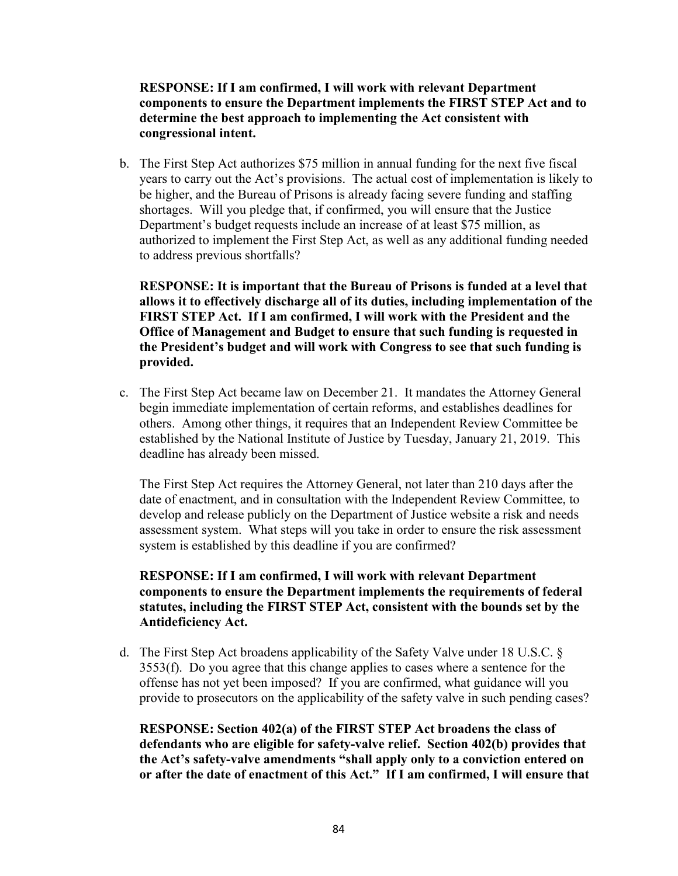RESPONSE: If I am confirmed, I will work with relevant Department components to ensure the Department implements the FIRST STEP Act and to determine the best approach to implementing the Act consistent with congressional intent.

b. The First Step Act authorizes \$75 million in annual funding for the next five fiscal years to carry out the Act's provisions. The actual cost of implementation is likely to be higher, and the Bureau of Prisons is already facing severe funding and staffing shortages. Will you pledge that, if confirmed, you will ensure that the Justice Department's budget requests include an increase of at least \$75 million, as authorized to implement the First Step Act, as well as any additional funding needed to address previous shortfalls?

RESPONSE: It is important that the Bureau of Prisons is funded at a level that allows it to effectively discharge all of its duties, including implementation of the FIRST STEP Act. If I am confirmed, I will work with the President and the Office of Management and Budget to ensure that such funding is requested in the President's budget and will work with Congress to see that such funding is provided.

c. The First Step Act became law on December 21. It mandates the Attorney General begin immediate implementation of certain reforms, and establishes deadlines for others. Among other things, it requires that an Independent Review Committee be established by the National Institute of Justice by Tuesday, January 21, 2019. This deadline has already been missed.

The First Step Act requires the Attorney General, not later than 210 days after the date of enactment, and in consultation with the Independent Review Committee, to develop and release publicly on the Department of Justice website a risk and needs assessment system. What steps will you take in order to ensure the risk assessment system is established by this deadline if you are confirmed?

## RESPONSE: If I am confirmed, I will work with relevant Department components to ensure the Department implements the requirements of federal statutes, including the FIRST STEP Act, consistent with the bounds set by the Antideficiency Act.

d. The First Step Act broadens applicability of the Safety Valve under 18 U.S.C. § 3553(f). Do you agree that this change applies to cases where a sentence for the offense has not yet been imposed? If you are confirmed, what guidance will you provide to prosecutors on the applicability of the safety valve in such pending cases?

RESPONSE: Section 402(a) of the FIRST STEP Act broadens the class of defendants who are eligible for safety-valve relief. Section 402(b) provides that the Act's safety-valve amendments "shall apply only to a conviction entered on or after the date of enactment of this Act." If I am confirmed, I will ensure that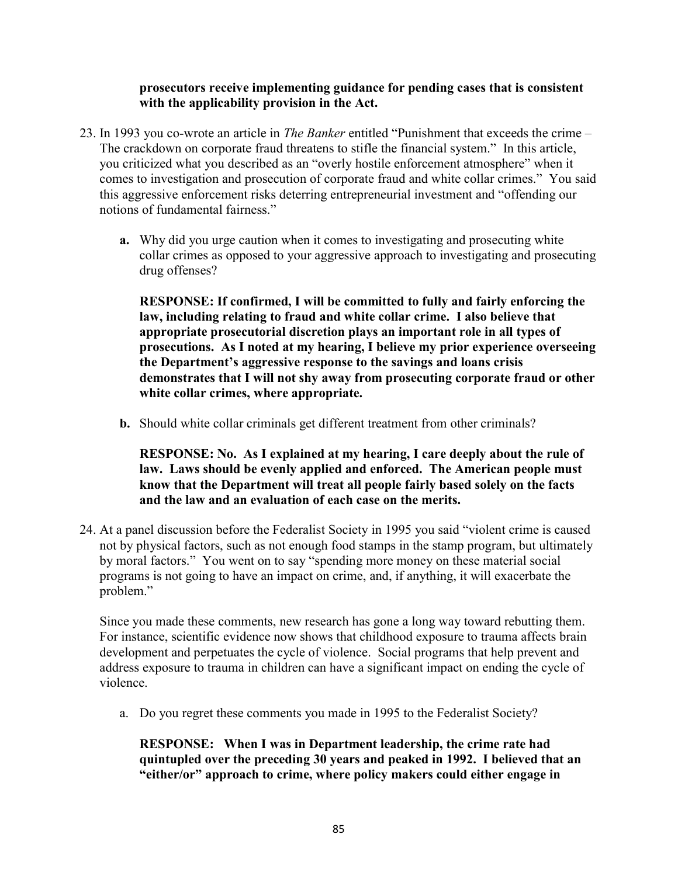### prosecutors receive implementing guidance for pending cases that is consistent with the applicability provision in the Act.

- 23. In 1993 you co-wrote an article in The Banker entitled "Punishment that exceeds the crime The crackdown on corporate fraud threatens to stifle the financial system." In this article, you criticized what you described as an "overly hostile enforcement atmosphere" when it comes to investigation and prosecution of corporate fraud and white collar crimes." You said this aggressive enforcement risks deterring entrepreneurial investment and "offending our notions of fundamental fairness."
	- a. Why did you urge caution when it comes to investigating and prosecuting white collar crimes as opposed to your aggressive approach to investigating and prosecuting drug offenses?

RESPONSE: If confirmed, I will be committed to fully and fairly enforcing the law, including relating to fraud and white collar crime. I also believe that appropriate prosecutorial discretion plays an important role in all types of prosecutions. As I noted at my hearing, I believe my prior experience overseeing the Department's aggressive response to the savings and loans crisis demonstrates that I will not shy away from prosecuting corporate fraud or other white collar crimes, where appropriate.

b. Should white collar criminals get different treatment from other criminals?

RESPONSE: No. As I explained at my hearing, I care deeply about the rule of law. Laws should be evenly applied and enforced. The American people must know that the Department will treat all people fairly based solely on the facts and the law and an evaluation of each case on the merits.

24. At a panel discussion before the Federalist Society in 1995 you said "violent crime is caused not by physical factors, such as not enough food stamps in the stamp program, but ultimately by moral factors." You went on to say "spending more money on these material social programs is not going to have an impact on crime, and, if anything, it will exacerbate the problem."

Since you made these comments, new research has gone a long way toward rebutting them. For instance, scientific evidence now shows that childhood exposure to trauma affects brain development and perpetuates the cycle of violence. Social programs that help prevent and address exposure to trauma in children can have a significant impact on ending the cycle of violence.

a. Do you regret these comments you made in 1995 to the Federalist Society?

RESPONSE: When I was in Department leadership, the crime rate had quintupled over the preceding 30 years and peaked in 1992. I believed that an "either/or" approach to crime, where policy makers could either engage in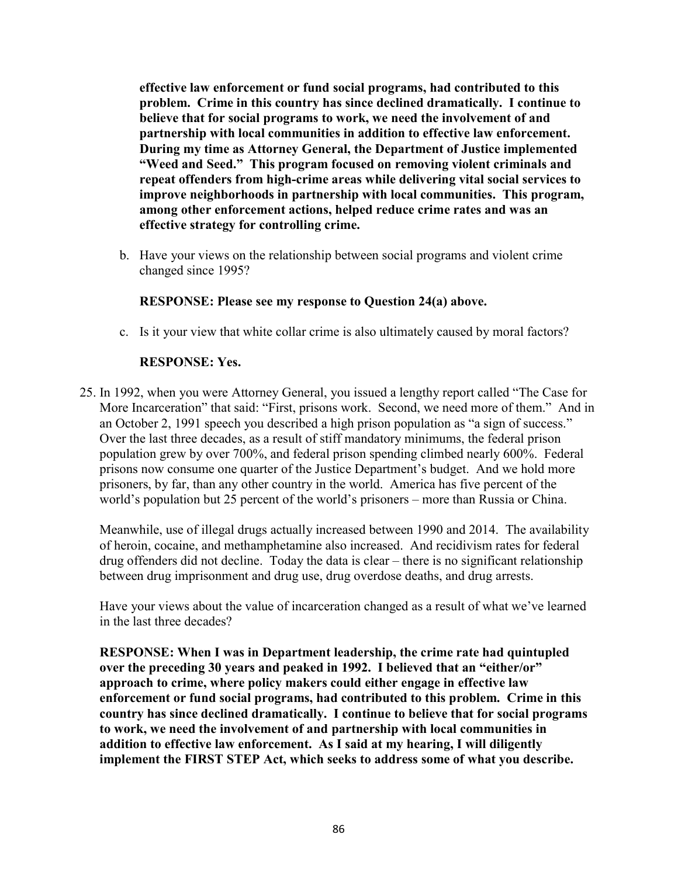effective law enforcement or fund social programs, had contributed to this problem. Crime in this country has since declined dramatically. I continue to believe that for social programs to work, we need the involvement of and partnership with local communities in addition to effective law enforcement. During my time as Attorney General, the Department of Justice implemented "Weed and Seed." This program focused on removing violent criminals and repeat offenders from high-crime areas while delivering vital social services to improve neighborhoods in partnership with local communities. This program, among other enforcement actions, helped reduce crime rates and was an effective strategy for controlling crime.

b. Have your views on the relationship between social programs and violent crime changed since 1995?

## RESPONSE: Please see my response to Question 24(a) above.

c. Is it your view that white collar crime is also ultimately caused by moral factors?

## RESPONSE: Yes.

25. In 1992, when you were Attorney General, you issued a lengthy report called "The Case for More Incarceration" that said: "First, prisons work. Second, we need more of them." And in an October 2, 1991 speech you described a high prison population as "a sign of success." Over the last three decades, as a result of stiff mandatory minimums, the federal prison population grew by over 700%, and federal prison spending climbed nearly 600%. Federal prisons now consume one quarter of the Justice Department's budget. And we hold more prisoners, by far, than any other country in the world. America has five percent of the world's population but 25 percent of the world's prisoners – more than Russia or China.

Meanwhile, use of illegal drugs actually increased between 1990 and 2014. The availability of heroin, cocaine, and methamphetamine also increased. And recidivism rates for federal drug offenders did not decline. Today the data is clear – there is no significant relationship between drug imprisonment and drug use, drug overdose deaths, and drug arrests.

Have your views about the value of incarceration changed as a result of what we've learned in the last three decades?

RESPONSE: When I was in Department leadership, the crime rate had quintupled over the preceding 30 years and peaked in 1992. I believed that an "either/or" approach to crime, where policy makers could either engage in effective law enforcement or fund social programs, had contributed to this problem. Crime in this country has since declined dramatically. I continue to believe that for social programs to work, we need the involvement of and partnership with local communities in addition to effective law enforcement. As I said at my hearing, I will diligently implement the FIRST STEP Act, which seeks to address some of what you describe.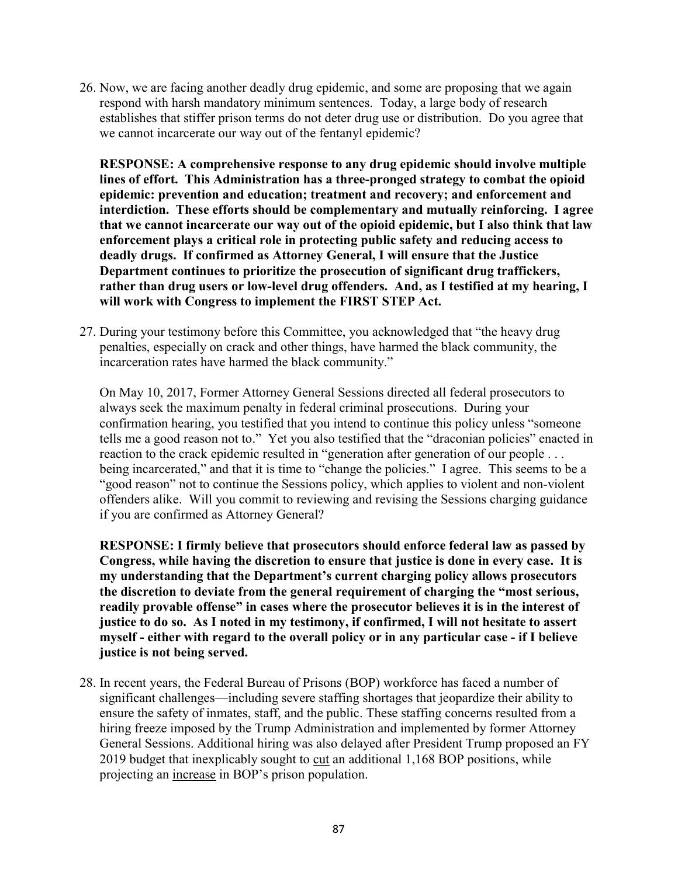26. Now, we are facing another deadly drug epidemic, and some are proposing that we again respond with harsh mandatory minimum sentences. Today, a large body of research establishes that stiffer prison terms do not deter drug use or distribution. Do you agree that we cannot incarcerate our way out of the fentanyl epidemic?

RESPONSE: A comprehensive response to any drug epidemic should involve multiple lines of effort. This Administration has a three-pronged strategy to combat the opioid epidemic: prevention and education; treatment and recovery; and enforcement and interdiction. These efforts should be complementary and mutually reinforcing. I agree that we cannot incarcerate our way out of the opioid epidemic, but I also think that law enforcement plays a critical role in protecting public safety and reducing access to deadly drugs. If confirmed as Attorney General, I will ensure that the Justice Department continues to prioritize the prosecution of significant drug traffickers, rather than drug users or low-level drug offenders. And, as I testified at my hearing, I will work with Congress to implement the FIRST STEP Act.

27. During your testimony before this Committee, you acknowledged that "the heavy drug penalties, especially on crack and other things, have harmed the black community, the incarceration rates have harmed the black community."

On May 10, 2017, Former Attorney General Sessions directed all federal prosecutors to always seek the maximum penalty in federal criminal prosecutions. During your confirmation hearing, you testified that you intend to continue this policy unless "someone tells me a good reason not to." Yet you also testified that the "draconian policies" enacted in reaction to the crack epidemic resulted in "generation after generation of our people . . . being incarcerated," and that it is time to "change the policies." I agree. This seems to be a "good reason" not to continue the Sessions policy, which applies to violent and non-violent offenders alike. Will you commit to reviewing and revising the Sessions charging guidance if you are confirmed as Attorney General?

RESPONSE: I firmly believe that prosecutors should enforce federal law as passed by Congress, while having the discretion to ensure that justice is done in every case. It is my understanding that the Department's current charging policy allows prosecutors the discretion to deviate from the general requirement of charging the "most serious, readily provable offense" in cases where the prosecutor believes it is in the interest of justice to do so. As I noted in my testimony, if confirmed, I will not hesitate to assert myself - either with regard to the overall policy or in any particular case - if I believe justice is not being served.

28. In recent years, the Federal Bureau of Prisons (BOP) workforce has faced a number of significant challenges—including severe staffing shortages that jeopardize their ability to ensure the safety of inmates, staff, and the public. These staffing concerns resulted from a hiring freeze imposed by the Trump Administration and implemented by former Attorney General Sessions. Additional hiring was also delayed after President Trump proposed an FY 2019 budget that inexplicably sought to cut an additional 1,168 BOP positions, while projecting an increase in BOP's prison population.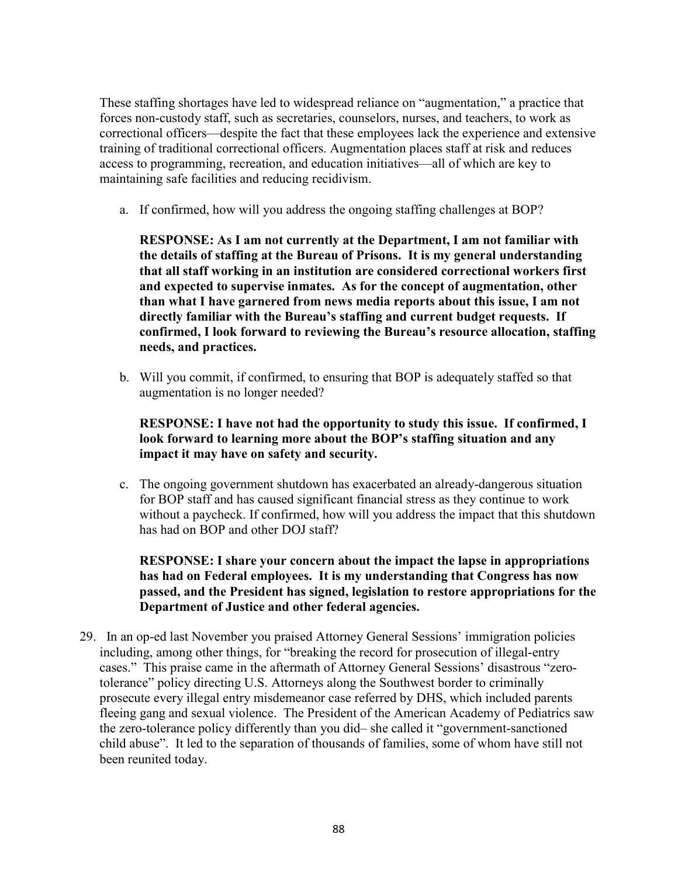These staffing shortages have led to widespread reliance on "augmentation," a practice that forces non-custody staff, such as secretaries, counselors, nurses, and teachers, to work as correctional officers—despite the fact that these employees lack the experience and extensive training of traditional correctional officers. Augmentation places staff at risk and reduces access to programming, recreation, and education initiatives—all of which are key to maintaining safe facilities and reducing recidivism.

a. If confirmed, how will you address the ongoing staffing challenges at BOP?

RESPONSE: As I am not currently at the Department, I am not familiar with the details of staffing at the Bureau of Prisons. It is my general understanding that all staff working in an institution are considered correctional workers first and expected to supervise inmates. As for the concept of augmentation, other than what I have garnered from news media reports about this issue, I am not directly familiar with the Bureau's staffing and current budget requests. If confirmed, I look forward to reviewing the Bureau's resource allocation, staffing needs, and practices.

b. Will you commit, if confirmed, to ensuring that BOP is adequately staffed so that augmentation is no longer needed?

## RESPONSE: I have not had the opportunity to study this issue. If confirmed, I look forward to learning more about the BOP's staffing situation and any impact it may have on safety and security.

c. The ongoing government shutdown has exacerbated an already-dangerous situation for BOP staff and has caused significant financial stress as they continue to work without a paycheck. If confirmed, how will you address the impact that this shutdown has had on BOP and other DOJ staff?

## RESPONSE: I share your concern about the impact the lapse in appropriations has had on Federal employees. It is my understanding that Congress has now passed, and the President has signed, legislation to restore appropriations for the Department of Justice and other federal agencies.

29. In an op-ed last November you praised Attorney General Sessions' immigration policies including, among other things, for "breaking the record for prosecution of illegal-entry cases." This praise came in the aftermath of Attorney General Sessions' disastrous "zerotolerance" policy directing U.S. Attorneys along the Southwest border to criminally prosecute every illegal entry misdemeanor case referred by DHS, which included parents fleeing gang and sexual violence. The President of the American Academy of Pediatrics saw the zero-tolerance policy differently than you did– she called it "government-sanctioned child abuse". It led to the separation of thousands of families, some of whom have still not been reunited today.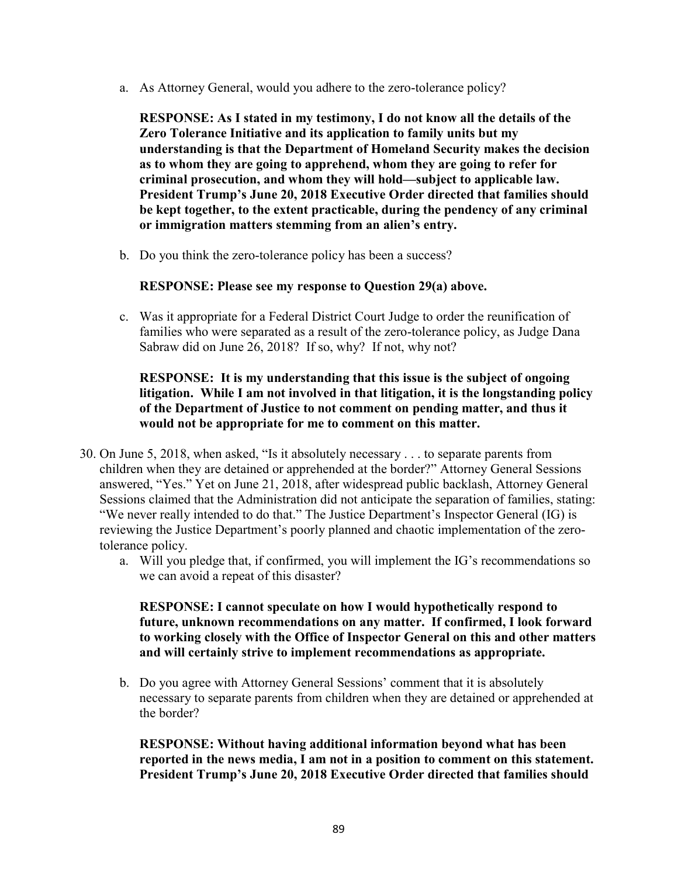a. As Attorney General, would you adhere to the zero-tolerance policy?

RESPONSE: As I stated in my testimony, I do not know all the details of the Zero Tolerance Initiative and its application to family units but my understanding is that the Department of Homeland Security makes the decision as to whom they are going to apprehend, whom they are going to refer for criminal prosecution, and whom they will hold—subject to applicable law. President Trump's June 20, 2018 Executive Order directed that families should be kept together, to the extent practicable, during the pendency of any criminal or immigration matters stemming from an alien's entry.

b. Do you think the zero-tolerance policy has been a success?

## RESPONSE: Please see my response to Question 29(a) above.

c. Was it appropriate for a Federal District Court Judge to order the reunification of families who were separated as a result of the zero-tolerance policy, as Judge Dana Sabraw did on June 26, 2018? If so, why? If not, why not?

## RESPONSE: It is my understanding that this issue is the subject of ongoing litigation. While I am not involved in that litigation, it is the longstanding policy of the Department of Justice to not comment on pending matter, and thus it would not be appropriate for me to comment on this matter.

- 30. On June 5, 2018, when asked, "Is it absolutely necessary . . . to separate parents from children when they are detained or apprehended at the border?" Attorney General Sessions answered, "Yes." Yet on June 21, 2018, after widespread public backlash, Attorney General Sessions claimed that the Administration did not anticipate the separation of families, stating: "We never really intended to do that." The Justice Department's Inspector General (IG) is reviewing the Justice Department's poorly planned and chaotic implementation of the zerotolerance policy.
	- a. Will you pledge that, if confirmed, you will implement the IG's recommendations so we can avoid a repeat of this disaster?

RESPONSE: I cannot speculate on how I would hypothetically respond to future, unknown recommendations on any matter. If confirmed, I look forward to working closely with the Office of Inspector General on this and other matters and will certainly strive to implement recommendations as appropriate.

b. Do you agree with Attorney General Sessions' comment that it is absolutely necessary to separate parents from children when they are detained or apprehended at the border?

RESPONSE: Without having additional information beyond what has been reported in the news media, I am not in a position to comment on this statement. President Trump's June 20, 2018 Executive Order directed that families should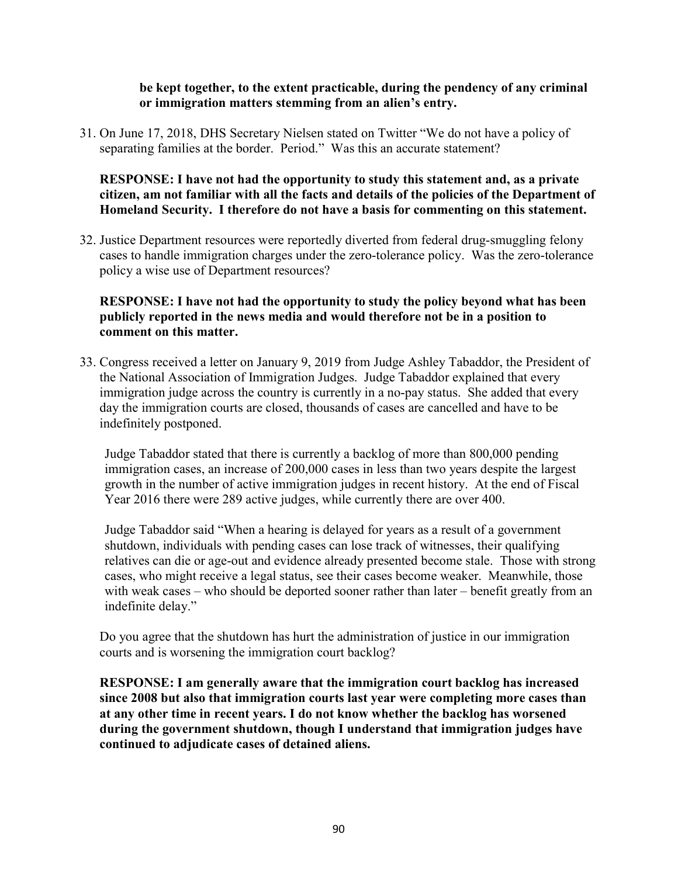### be kept together, to the extent practicable, during the pendency of any criminal or immigration matters stemming from an alien's entry.

31. On June 17, 2018, DHS Secretary Nielsen stated on Twitter "We do not have a policy of separating families at the border. Period." Was this an accurate statement?

## RESPONSE: I have not had the opportunity to study this statement and, as a private citizen, am not familiar with all the facts and details of the policies of the Department of Homeland Security. I therefore do not have a basis for commenting on this statement.

32. Justice Department resources were reportedly diverted from federal drug-smuggling felony cases to handle immigration charges under the zero-tolerance policy. Was the zero-tolerance policy a wise use of Department resources?

## RESPONSE: I have not had the opportunity to study the policy beyond what has been publicly reported in the news media and would therefore not be in a position to comment on this matter.

33. Congress received a letter on January 9, 2019 from Judge Ashley Tabaddor, the President of the National Association of Immigration Judges. Judge Tabaddor explained that every immigration judge across the country is currently in a no-pay status. She added that every day the immigration courts are closed, thousands of cases are cancelled and have to be indefinitely postponed.

Judge Tabaddor stated that there is currently a backlog of more than 800,000 pending immigration cases, an increase of 200,000 cases in less than two years despite the largest growth in the number of active immigration judges in recent history. At the end of Fiscal Year 2016 there were 289 active judges, while currently there are over 400.

Judge Tabaddor said "When a hearing is delayed for years as a result of a government shutdown, individuals with pending cases can lose track of witnesses, their qualifying relatives can die or age-out and evidence already presented become stale. Those with strong cases, who might receive a legal status, see their cases become weaker. Meanwhile, those with weak cases – who should be deported sooner rather than later – benefit greatly from an indefinite delay."

Do you agree that the shutdown has hurt the administration of justice in our immigration courts and is worsening the immigration court backlog?

RESPONSE: I am generally aware that the immigration court backlog has increased since 2008 but also that immigration courts last year were completing more cases than at any other time in recent years. I do not know whether the backlog has worsened during the government shutdown, though I understand that immigration judges have continued to adjudicate cases of detained aliens.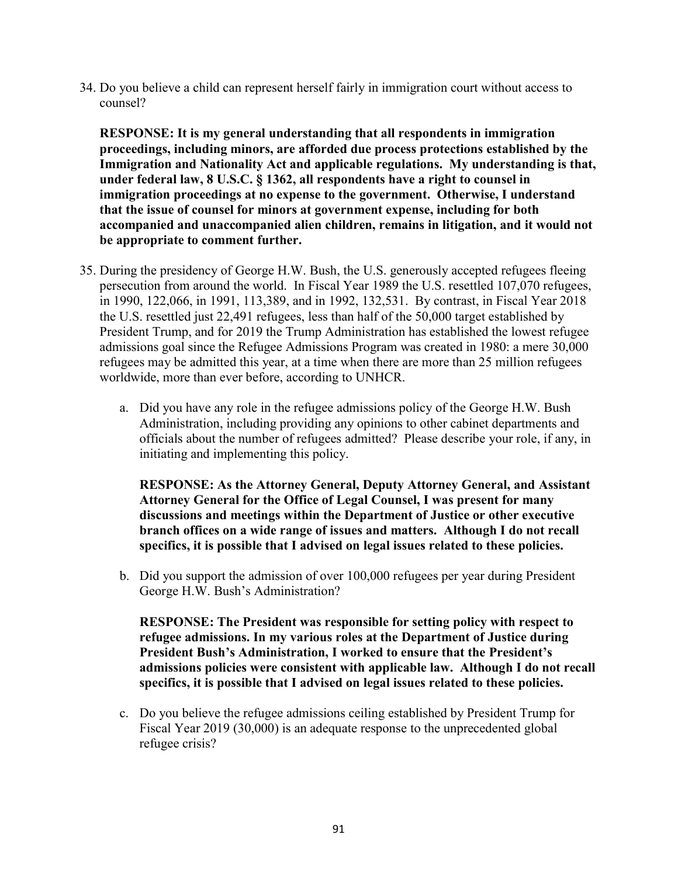34. Do you believe a child can represent herself fairly in immigration court without access to counsel?

RESPONSE: It is my general understanding that all respondents in immigration proceedings, including minors, are afforded due process protections established by the Immigration and Nationality Act and applicable regulations. My understanding is that, under federal law, 8 U.S.C. § 1362, all respondents have a right to counsel in immigration proceedings at no expense to the government. Otherwise, I understand that the issue of counsel for minors at government expense, including for both accompanied and unaccompanied alien children, remains in litigation, and it would not be appropriate to comment further.

- 35. During the presidency of George H.W. Bush, the U.S. generously accepted refugees fleeing persecution from around the world. In Fiscal Year 1989 the U.S. resettled 107,070 refugees, in 1990, 122,066, in 1991, 113,389, and in 1992, 132,531. By contrast, in Fiscal Year 2018 the U.S. resettled just 22,491 refugees, less than half of the 50,000 target established by President Trump, and for 2019 the Trump Administration has established the lowest refugee admissions goal since the Refugee Admissions Program was created in 1980: a mere 30,000 refugees may be admitted this year, at a time when there are more than 25 million refugees worldwide, more than ever before, according to UNHCR.
	- a. Did you have any role in the refugee admissions policy of the George H.W. Bush Administration, including providing any opinions to other cabinet departments and officials about the number of refugees admitted? Please describe your role, if any, in initiating and implementing this policy.

RESPONSE: As the Attorney General, Deputy Attorney General, and Assistant Attorney General for the Office of Legal Counsel, I was present for many discussions and meetings within the Department of Justice or other executive branch offices on a wide range of issues and matters. Although I do not recall specifics, it is possible that I advised on legal issues related to these policies.

b. Did you support the admission of over 100,000 refugees per year during President George H.W. Bush's Administration?

RESPONSE: The President was responsible for setting policy with respect to refugee admissions. In my various roles at the Department of Justice during President Bush's Administration, I worked to ensure that the President's admissions policies were consistent with applicable law. Although I do not recall specifics, it is possible that I advised on legal issues related to these policies.

c. Do you believe the refugee admissions ceiling established by President Trump for Fiscal Year 2019 (30,000) is an adequate response to the unprecedented global refugee crisis?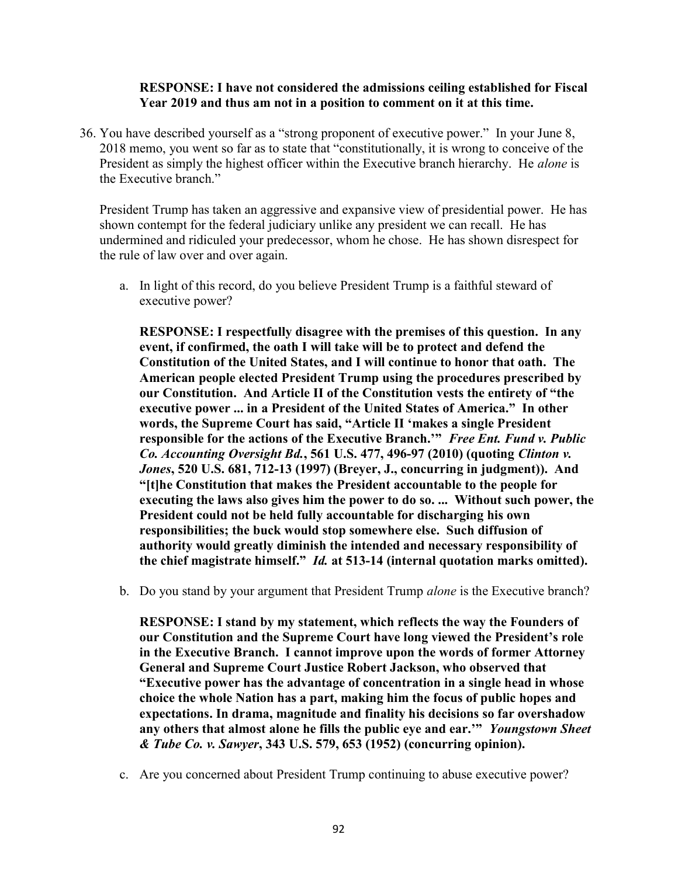### RESPONSE: I have not considered the admissions ceiling established for Fiscal Year 2019 and thus am not in a position to comment on it at this time.

36. You have described yourself as a "strong proponent of executive power." In your June 8, 2018 memo, you went so far as to state that "constitutionally, it is wrong to conceive of the President as simply the highest officer within the Executive branch hierarchy. He *alone* is the Executive branch."

President Trump has taken an aggressive and expansive view of presidential power. He has shown contempt for the federal judiciary unlike any president we can recall. He has undermined and ridiculed your predecessor, whom he chose. He has shown disrespect for the rule of law over and over again.

a. In light of this record, do you believe President Trump is a faithful steward of executive power?

RESPONSE: I respectfully disagree with the premises of this question. In any event, if confirmed, the oath I will take will be to protect and defend the Constitution of the United States, and I will continue to honor that oath. The American people elected President Trump using the procedures prescribed by our Constitution. And Article II of the Constitution vests the entirety of "the executive power ... in a President of the United States of America." In other words, the Supreme Court has said, "Article II 'makes a single President responsible for the actions of the Executive Branch." Free Ent. Fund v. Public Co. Accounting Oversight Bd., 561 U.S. 477, 496-97 (2010) (quoting Clinton v. Jones, 520 U.S. 681, 712-13 (1997) (Breyer, J., concurring in judgment)). And "[t]he Constitution that makes the President accountable to the people for executing the laws also gives him the power to do so. ... Without such power, the President could not be held fully accountable for discharging his own responsibilities; the buck would stop somewhere else. Such diffusion of authority would greatly diminish the intended and necessary responsibility of the chief magistrate himself." Id. at 513-14 (internal quotation marks omitted).

b. Do you stand by your argument that President Trump alone is the Executive branch?

RESPONSE: I stand by my statement, which reflects the way the Founders of our Constitution and the Supreme Court have long viewed the President's role in the Executive Branch. I cannot improve upon the words of former Attorney General and Supreme Court Justice Robert Jackson, who observed that "Executive power has the advantage of concentration in a single head in whose choice the whole Nation has a part, making him the focus of public hopes and expectations. In drama, magnitude and finality his decisions so far overshadow any others that almost alone he fills the public eye and ear."" Youngstown Sheet & Tube Co. v. Sawyer, 343 U.S. 579, 653 (1952) (concurring opinion).

c. Are you concerned about President Trump continuing to abuse executive power?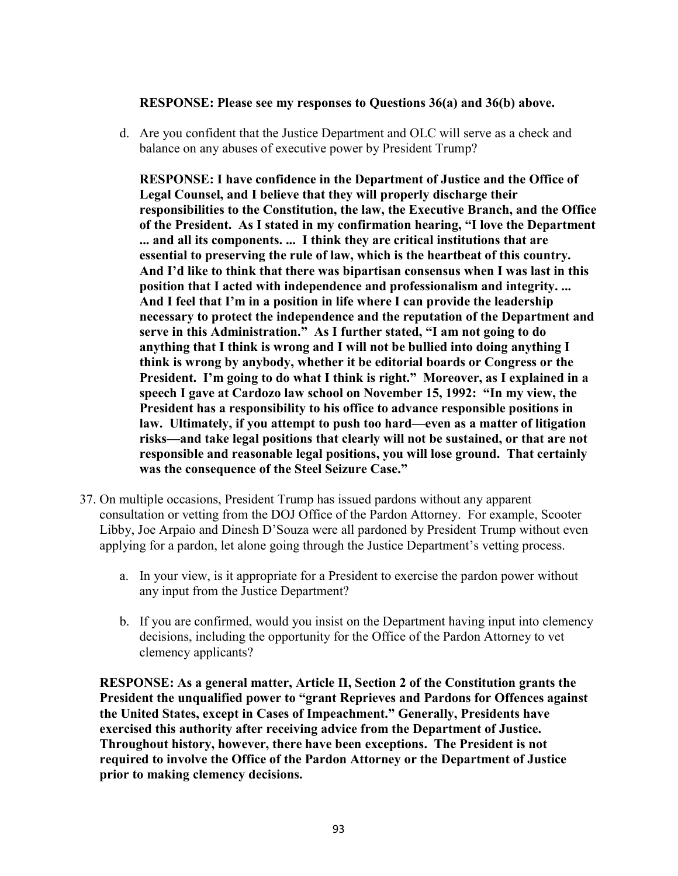### RESPONSE: Please see my responses to Questions 36(a) and 36(b) above.

d. Are you confident that the Justice Department and OLC will serve as a check and balance on any abuses of executive power by President Trump?

RESPONSE: I have confidence in the Department of Justice and the Office of Legal Counsel, and I believe that they will properly discharge their responsibilities to the Constitution, the law, the Executive Branch, and the Office of the President. As I stated in my confirmation hearing, "I love the Department ... and all its components. ... I think they are critical institutions that are essential to preserving the rule of law, which is the heartbeat of this country. And I'd like to think that there was bipartisan consensus when I was last in this position that I acted with independence and professionalism and integrity. ... And I feel that I'm in a position in life where I can provide the leadership necessary to protect the independence and the reputation of the Department and serve in this Administration." As I further stated, "I am not going to do anything that I think is wrong and I will not be bullied into doing anything I think is wrong by anybody, whether it be editorial boards or Congress or the President. I'm going to do what I think is right." Moreover, as I explained in a speech I gave at Cardozo law school on November 15, 1992: "In my view, the President has a responsibility to his office to advance responsible positions in law. Ultimately, if you attempt to push too hard—even as a matter of litigation risks—and take legal positions that clearly will not be sustained, or that are not responsible and reasonable legal positions, you will lose ground. That certainly was the consequence of the Steel Seizure Case."

- 37. On multiple occasions, President Trump has issued pardons without any apparent consultation or vetting from the DOJ Office of the Pardon Attorney. For example, Scooter Libby, Joe Arpaio and Dinesh D'Souza were all pardoned by President Trump without even applying for a pardon, let alone going through the Justice Department's vetting process.
	- a. In your view, is it appropriate for a President to exercise the pardon power without any input from the Justice Department?
	- b. If you are confirmed, would you insist on the Department having input into clemency decisions, including the opportunity for the Office of the Pardon Attorney to vet clemency applicants?

RESPONSE: As a general matter, Article II, Section 2 of the Constitution grants the President the unqualified power to "grant Reprieves and Pardons for Offences against the United States, except in Cases of Impeachment." Generally, Presidents have exercised this authority after receiving advice from the Department of Justice. Throughout history, however, there have been exceptions. The President is not required to involve the Office of the Pardon Attorney or the Department of Justice prior to making clemency decisions.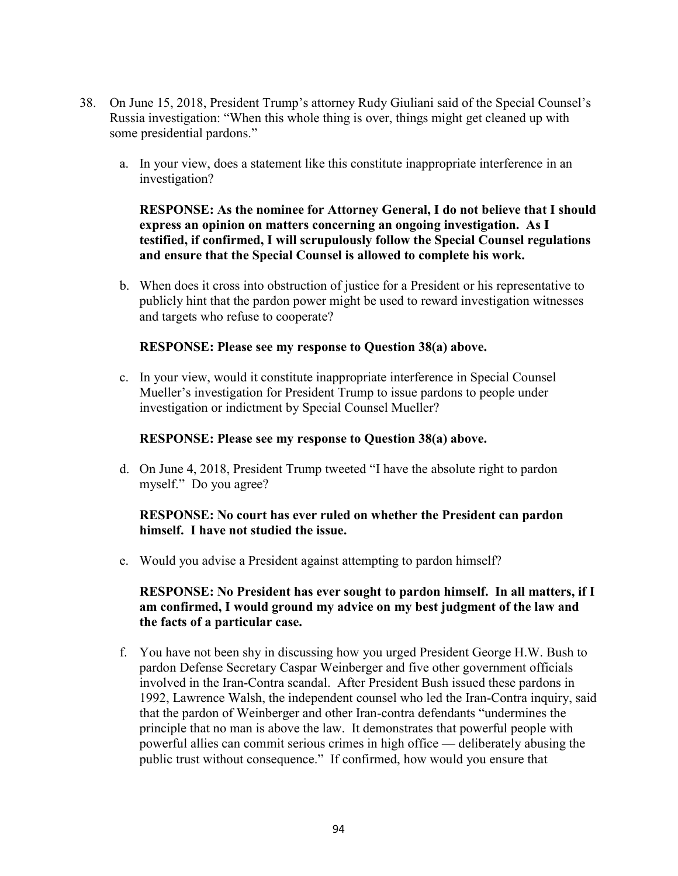- 38. On June 15, 2018, President Trump's attorney Rudy Giuliani said of the Special Counsel's Russia investigation: "When this whole thing is over, things might get cleaned up with some presidential pardons."
	- a. In your view, does a statement like this constitute inappropriate interference in an investigation?

RESPONSE: As the nominee for Attorney General, I do not believe that I should express an opinion on matters concerning an ongoing investigation. As I testified, if confirmed, I will scrupulously follow the Special Counsel regulations and ensure that the Special Counsel is allowed to complete his work.

b. When does it cross into obstruction of justice for a President or his representative to publicly hint that the pardon power might be used to reward investigation witnesses and targets who refuse to cooperate?

#### RESPONSE: Please see my response to Question 38(a) above.

c. In your view, would it constitute inappropriate interference in Special Counsel Mueller's investigation for President Trump to issue pardons to people under investigation or indictment by Special Counsel Mueller?

#### RESPONSE: Please see my response to Question 38(a) above.

d. On June 4, 2018, President Trump tweeted "I have the absolute right to pardon myself." Do you agree?

### RESPONSE: No court has ever ruled on whether the President can pardon himself. I have not studied the issue.

e. Would you advise a President against attempting to pardon himself?

## RESPONSE: No President has ever sought to pardon himself. In all matters, if I am confirmed, I would ground my advice on my best judgment of the law and the facts of a particular case.

f. You have not been shy in discussing how you urged President George H.W. Bush to pardon Defense Secretary Caspar Weinberger and five other government officials involved in the Iran-Contra scandal. After President Bush issued these pardons in 1992, Lawrence Walsh, the independent counsel who led the Iran-Contra inquiry, said that the pardon of Weinberger and other Iran-contra defendants "undermines the principle that no man is above the law. It demonstrates that powerful people with powerful allies can commit serious crimes in high office — deliberately abusing the public trust without consequence." If confirmed, how would you ensure that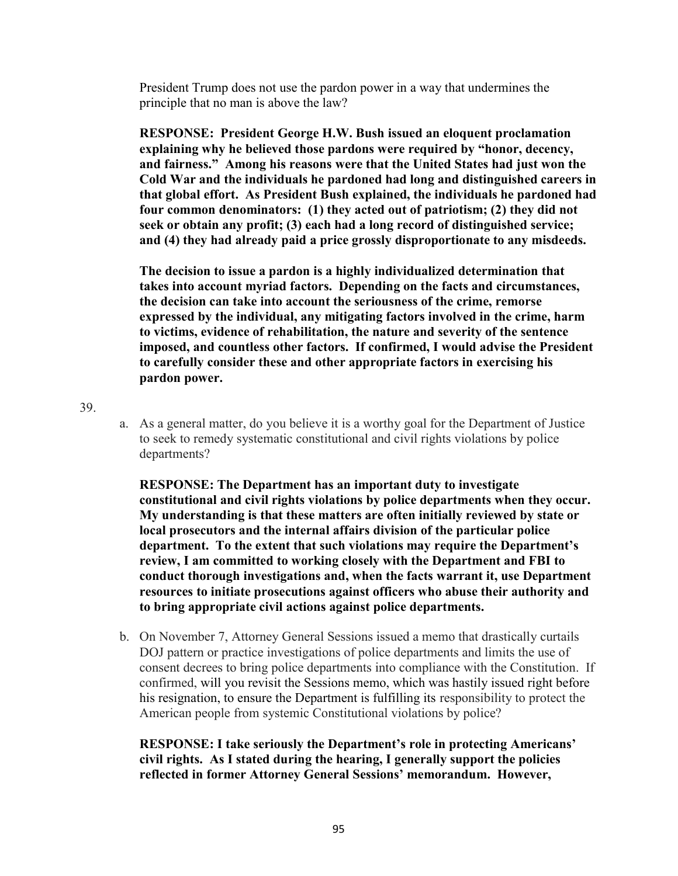President Trump does not use the pardon power in a way that undermines the principle that no man is above the law?

RESPONSE: President George H.W. Bush issued an eloquent proclamation explaining why he believed those pardons were required by "honor, decency, and fairness." Among his reasons were that the United States had just won the Cold War and the individuals he pardoned had long and distinguished careers in that global effort. As President Bush explained, the individuals he pardoned had four common denominators: (1) they acted out of patriotism; (2) they did not seek or obtain any profit; (3) each had a long record of distinguished service; and (4) they had already paid a price grossly disproportionate to any misdeeds.

The decision to issue a pardon is a highly individualized determination that takes into account myriad factors. Depending on the facts and circumstances, the decision can take into account the seriousness of the crime, remorse expressed by the individual, any mitigating factors involved in the crime, harm to victims, evidence of rehabilitation, the nature and severity of the sentence imposed, and countless other factors. If confirmed, I would advise the President to carefully consider these and other appropriate factors in exercising his pardon power.

39.

a. As a general matter, do you believe it is a worthy goal for the Department of Justice to seek to remedy systematic constitutional and civil rights violations by police departments?

RESPONSE: The Department has an important duty to investigate constitutional and civil rights violations by police departments when they occur. My understanding is that these matters are often initially reviewed by state or local prosecutors and the internal affairs division of the particular police department. To the extent that such violations may require the Department's review, I am committed to working closely with the Department and FBI to conduct thorough investigations and, when the facts warrant it, use Department resources to initiate prosecutions against officers who abuse their authority and to bring appropriate civil actions against police departments.

b. On November 7, Attorney General Sessions issued a memo that drastically curtails DOJ pattern or practice investigations of police departments and limits the use of consent decrees to bring police departments into compliance with the Constitution. If confirmed, will you revisit the Sessions memo, which was hastily issued right before his resignation, to ensure the Department is fulfilling its responsibility to protect the American people from systemic Constitutional violations by police?

RESPONSE: I take seriously the Department's role in protecting Americans' civil rights. As I stated during the hearing, I generally support the policies reflected in former Attorney General Sessions' memorandum. However,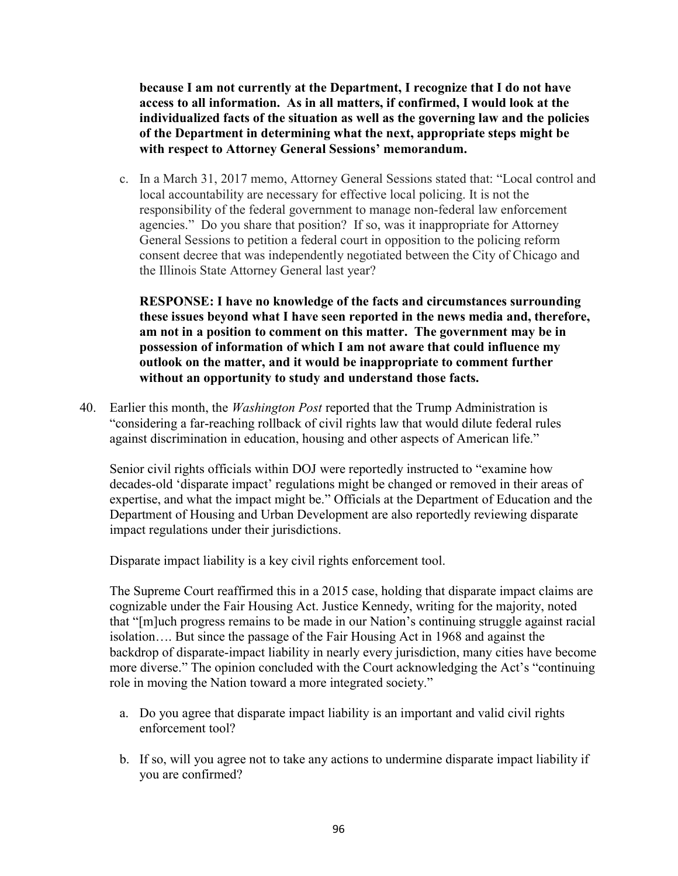because I am not currently at the Department, I recognize that I do not have access to all information. As in all matters, if confirmed, I would look at the individualized facts of the situation as well as the governing law and the policies of the Department in determining what the next, appropriate steps might be with respect to Attorney General Sessions' memorandum.

c. In a March 31, 2017 memo, Attorney General Sessions stated that: "Local control and local accountability are necessary for effective local policing. It is not the responsibility of the federal government to manage non-federal law enforcement agencies." Do you share that position? If so, was it inappropriate for Attorney General Sessions to petition a federal court in opposition to the policing reform consent decree that was independently negotiated between the City of Chicago and the Illinois State Attorney General last year?

RESPONSE: I have no knowledge of the facts and circumstances surrounding these issues beyond what I have seen reported in the news media and, therefore, am not in a position to comment on this matter. The government may be in possession of information of which I am not aware that could influence my outlook on the matter, and it would be inappropriate to comment further without an opportunity to study and understand those facts.

40. Earlier this month, the *Washington Post* reported that the Trump Administration is "considering a far-reaching rollback of civil rights law that would dilute federal rules against discrimination in education, housing and other aspects of American life."

Senior civil rights officials within DOJ were reportedly instructed to "examine how decades-old 'disparate impact' regulations might be changed or removed in their areas of expertise, and what the impact might be." Officials at the Department of Education and the Department of Housing and Urban Development are also reportedly reviewing disparate impact regulations under their jurisdictions.

Disparate impact liability is a key civil rights enforcement tool.

The Supreme Court reaffirmed this in a 2015 case, holding that disparate impact claims are cognizable under the Fair Housing Act. Justice Kennedy, writing for the majority, noted that "[m]uch progress remains to be made in our Nation's continuing struggle against racial isolation…. But since the passage of the Fair Housing Act in 1968 and against the backdrop of disparate-impact liability in nearly every jurisdiction, many cities have become more diverse." The opinion concluded with the Court acknowledging the Act's "continuing role in moving the Nation toward a more integrated society."

- a. Do you agree that disparate impact liability is an important and valid civil rights enforcement tool?
- b. If so, will you agree not to take any actions to undermine disparate impact liability if you are confirmed?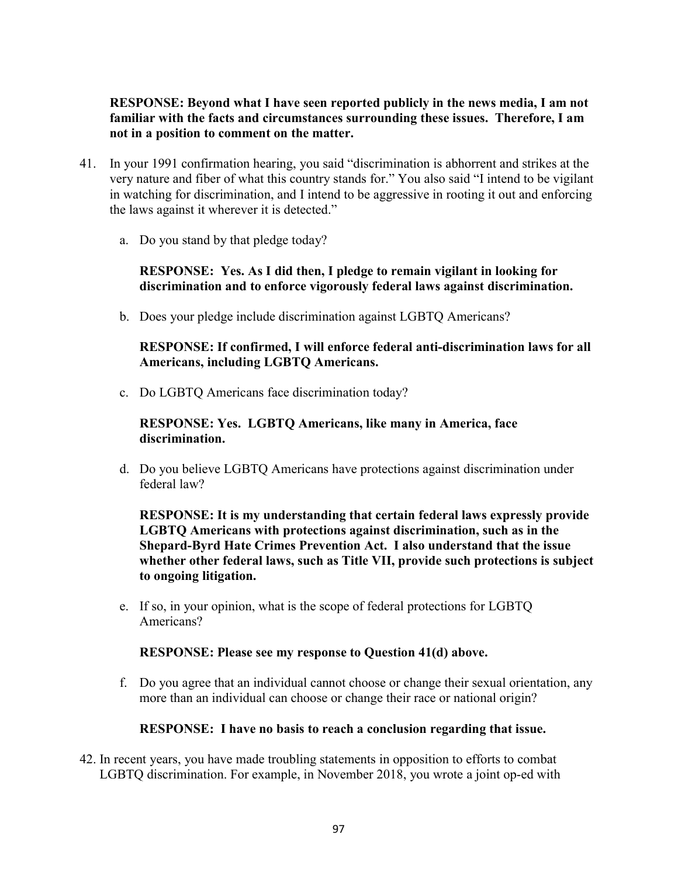RESPONSE: Beyond what I have seen reported publicly in the news media, I am not familiar with the facts and circumstances surrounding these issues. Therefore, I am not in a position to comment on the matter.

- 41. In your 1991 confirmation hearing, you said "discrimination is abhorrent and strikes at the very nature and fiber of what this country stands for." You also said "I intend to be vigilant in watching for discrimination, and I intend to be aggressive in rooting it out and enforcing the laws against it wherever it is detected."
	- a. Do you stand by that pledge today?

## RESPONSE: Yes. As I did then, I pledge to remain vigilant in looking for discrimination and to enforce vigorously federal laws against discrimination.

b. Does your pledge include discrimination against LGBTQ Americans?

## RESPONSE: If confirmed, I will enforce federal anti-discrimination laws for all Americans, including LGBTQ Americans.

c. Do LGBTQ Americans face discrimination today?

## RESPONSE: Yes. LGBTQ Americans, like many in America, face discrimination.

d. Do you believe LGBTQ Americans have protections against discrimination under federal law?

RESPONSE: It is my understanding that certain federal laws expressly provide LGBTQ Americans with protections against discrimination, such as in the Shepard-Byrd Hate Crimes Prevention Act. I also understand that the issue whether other federal laws, such as Title VII, provide such protections is subject to ongoing litigation.

e. If so, in your opinion, what is the scope of federal protections for LGBTQ Americans?

### RESPONSE: Please see my response to Question 41(d) above.

f. Do you agree that an individual cannot choose or change their sexual orientation, any more than an individual can choose or change their race or national origin?

### RESPONSE: I have no basis to reach a conclusion regarding that issue.

42. In recent years, you have made troubling statements in opposition to efforts to combat LGBTQ discrimination. For example, in November 2018, you wrote a joint op-ed with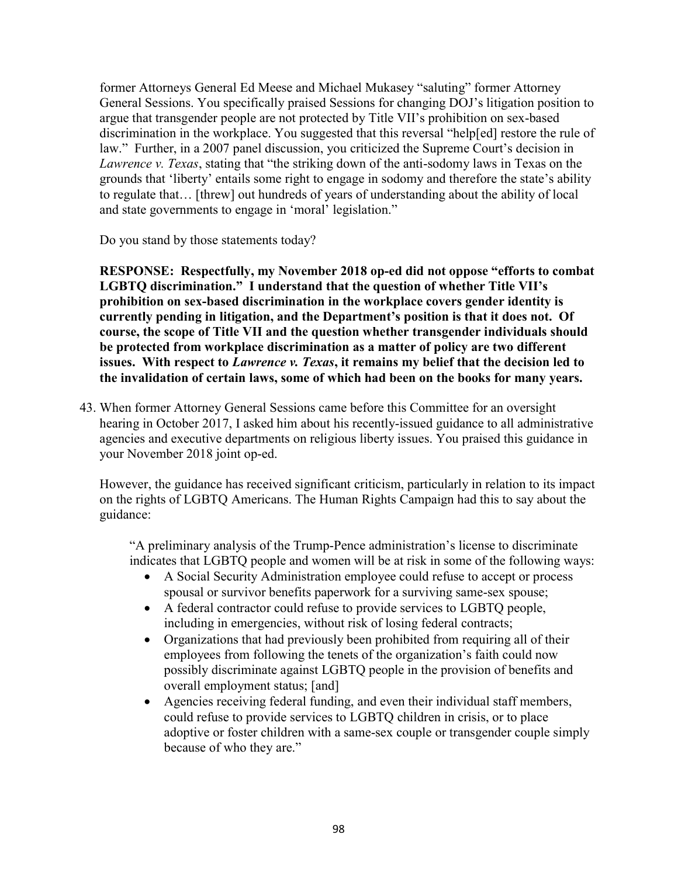former Attorneys General Ed Meese and Michael Mukasey "saluting" former Attorney General Sessions. You specifically praised Sessions for changing DOJ's litigation position to argue that transgender people are not protected by Title VII's prohibition on sex-based discrimination in the workplace. You suggested that this reversal "help[ed] restore the rule of law." Further, in a 2007 panel discussion, you criticized the Supreme Court's decision in Lawrence v. Texas, stating that "the striking down of the anti-sodomy laws in Texas on the grounds that 'liberty' entails some right to engage in sodomy and therefore the state's ability to regulate that… [threw] out hundreds of years of understanding about the ability of local and state governments to engage in 'moral' legislation."

Do you stand by those statements today?

RESPONSE: Respectfully, my November 2018 op-ed did not oppose "efforts to combat LGBTQ discrimination." I understand that the question of whether Title VII's prohibition on sex-based discrimination in the workplace covers gender identity is currently pending in litigation, and the Department's position is that it does not. Of course, the scope of Title VII and the question whether transgender individuals should be protected from workplace discrimination as a matter of policy are two different issues. With respect to Lawrence v. Texas, it remains my belief that the decision led to the invalidation of certain laws, some of which had been on the books for many years.

43. When former Attorney General Sessions came before this Committee for an oversight hearing in October 2017, I asked him about his recently-issued guidance to all administrative agencies and executive departments on religious liberty issues. You praised this guidance in your November 2018 joint op-ed.

However, the guidance has received significant criticism, particularly in relation to its impact on the rights of LGBTQ Americans. The Human Rights Campaign had this to say about the guidance:

"A preliminary analysis of the Trump-Pence administration's license to discriminate indicates that LGBTQ people and women will be at risk in some of the following ways:

- A Social Security Administration employee could refuse to accept or process spousal or survivor benefits paperwork for a surviving same-sex spouse;
- A federal contractor could refuse to provide services to LGBTQ people, including in emergencies, without risk of losing federal contracts;
- Organizations that had previously been prohibited from requiring all of their employees from following the tenets of the organization's faith could now possibly discriminate against LGBTQ people in the provision of benefits and overall employment status; [and]
- Agencies receiving federal funding, and even their individual staff members, could refuse to provide services to LGBTQ children in crisis, or to place adoptive or foster children with a same-sex couple or transgender couple simply because of who they are."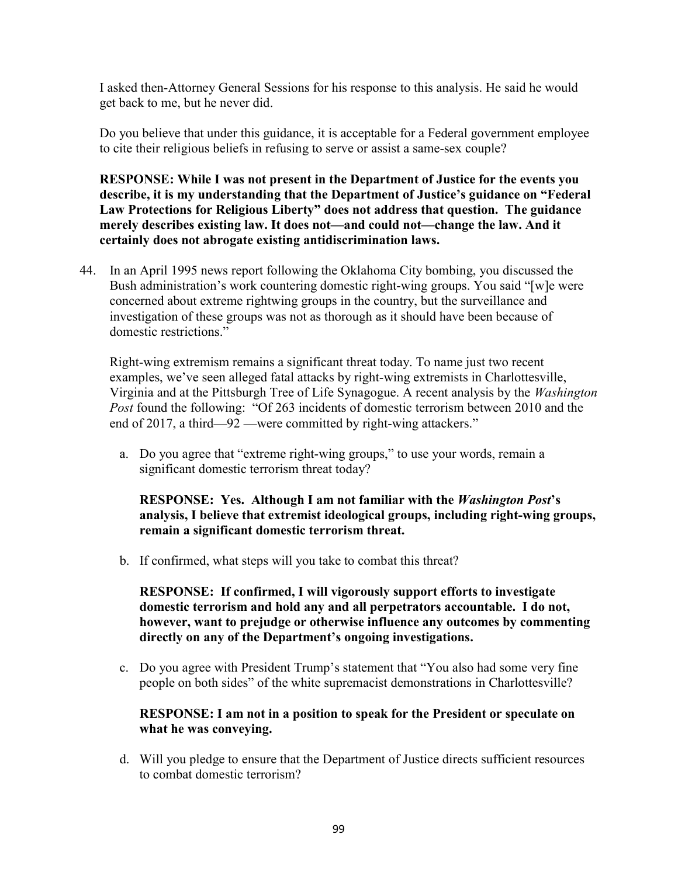I asked then-Attorney General Sessions for his response to this analysis. He said he would get back to me, but he never did.

Do you believe that under this guidance, it is acceptable for a Federal government employee to cite their religious beliefs in refusing to serve or assist a same-sex couple?

RESPONSE: While I was not present in the Department of Justice for the events you describe, it is my understanding that the Department of Justice's guidance on "Federal Law Protections for Religious Liberty" does not address that question. The guidance merely describes existing law. It does not—and could not—change the law. And it certainly does not abrogate existing antidiscrimination laws.

44. In an April 1995 news report following the Oklahoma City bombing, you discussed the Bush administration's work countering domestic right-wing groups. You said "[w]e were concerned about extreme rightwing groups in the country, but the surveillance and investigation of these groups was not as thorough as it should have been because of domestic restrictions."

Right-wing extremism remains a significant threat today. To name just two recent examples, we've seen alleged fatal attacks by right-wing extremists in Charlottesville, Virginia and at the Pittsburgh Tree of Life Synagogue. A recent analysis by the Washington Post found the following: "Of 263 incidents of domestic terrorism between 2010 and the end of 2017, a third—92 —were committed by right-wing attackers."

a. Do you agree that "extreme right-wing groups," to use your words, remain a significant domestic terrorism threat today?

RESPONSE: Yes. Although I am not familiar with the Washington Post's analysis, I believe that extremist ideological groups, including right-wing groups, remain a significant domestic terrorism threat.

b. If confirmed, what steps will you take to combat this threat?

RESPONSE: If confirmed, I will vigorously support efforts to investigate domestic terrorism and hold any and all perpetrators accountable. I do not, however, want to prejudge or otherwise influence any outcomes by commenting directly on any of the Department's ongoing investigations.

c. Do you agree with President Trump's statement that "You also had some very fine people on both sides" of the white supremacist demonstrations in Charlottesville?

## RESPONSE: I am not in a position to speak for the President or speculate on what he was conveying.

d. Will you pledge to ensure that the Department of Justice directs sufficient resources to combat domestic terrorism?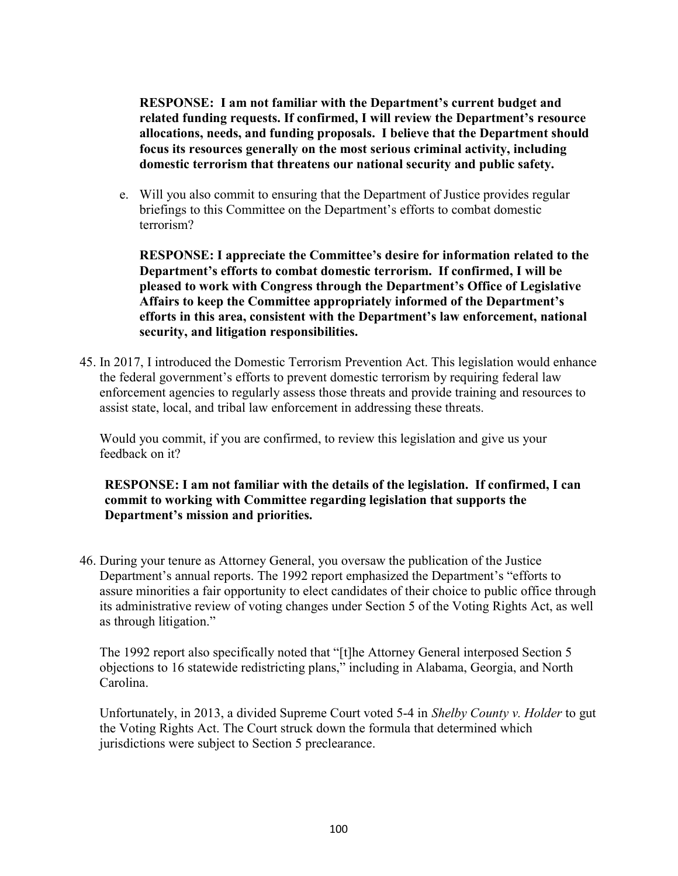RESPONSE: I am not familiar with the Department's current budget and related funding requests. If confirmed, I will review the Department's resource allocations, needs, and funding proposals. I believe that the Department should focus its resources generally on the most serious criminal activity, including domestic terrorism that threatens our national security and public safety.

e. Will you also commit to ensuring that the Department of Justice provides regular briefings to this Committee on the Department's efforts to combat domestic terrorism?

RESPONSE: I appreciate the Committee's desire for information related to the Department's efforts to combat domestic terrorism. If confirmed, I will be pleased to work with Congress through the Department's Office of Legislative Affairs to keep the Committee appropriately informed of the Department's efforts in this area, consistent with the Department's law enforcement, national security, and litigation responsibilities.

45. In 2017, I introduced the Domestic Terrorism Prevention Act. This legislation would enhance the federal government's efforts to prevent domestic terrorism by requiring federal law enforcement agencies to regularly assess those threats and provide training and resources to assist state, local, and tribal law enforcement in addressing these threats.

Would you commit, if you are confirmed, to review this legislation and give us your feedback on it?

RESPONSE: I am not familiar with the details of the legislation. If confirmed, I can commit to working with Committee regarding legislation that supports the Department's mission and priorities.

46. During your tenure as Attorney General, you oversaw the publication of the Justice Department's annual reports. The 1992 report emphasized the Department's "efforts to assure minorities a fair opportunity to elect candidates of their choice to public office through its administrative review of voting changes under Section 5 of the Voting Rights Act, as well as through litigation."

The 1992 report also specifically noted that "[t]he Attorney General interposed Section 5 objections to 16 statewide redistricting plans," including in Alabama, Georgia, and North Carolina.

Unfortunately, in 2013, a divided Supreme Court voted 5-4 in Shelby County v. Holder to gut the Voting Rights Act. The Court struck down the formula that determined which jurisdictions were subject to Section 5 preclearance.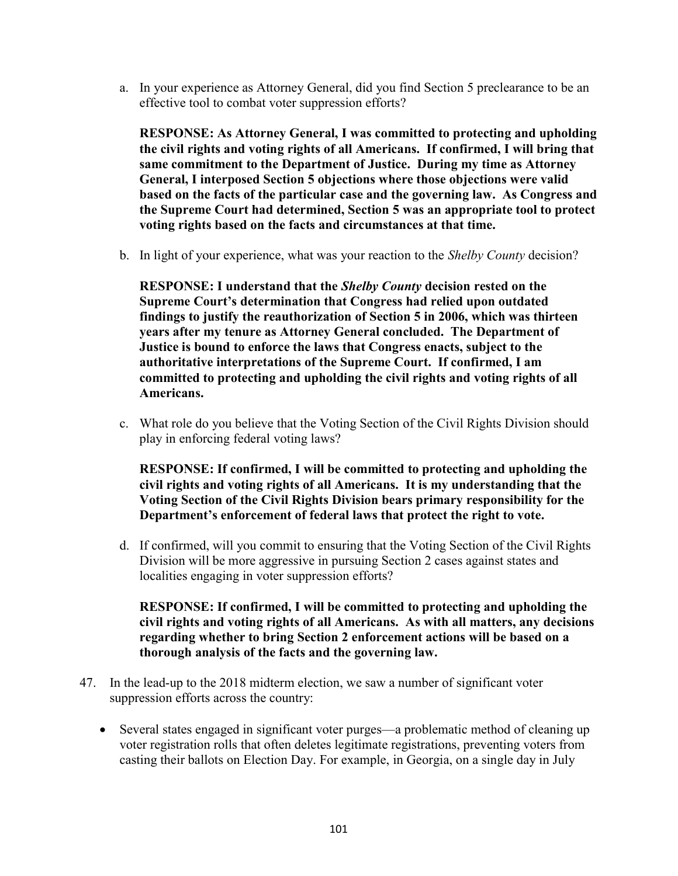a. In your experience as Attorney General, did you find Section 5 preclearance to be an effective tool to combat voter suppression efforts?

RESPONSE: As Attorney General, I was committed to protecting and upholding the civil rights and voting rights of all Americans. If confirmed, I will bring that same commitment to the Department of Justice. During my time as Attorney General, I interposed Section 5 objections where those objections were valid based on the facts of the particular case and the governing law. As Congress and the Supreme Court had determined, Section 5 was an appropriate tool to protect voting rights based on the facts and circumstances at that time.

b. In light of your experience, what was your reaction to the Shelby County decision?

RESPONSE: I understand that the Shelby County decision rested on the Supreme Court's determination that Congress had relied upon outdated findings to justify the reauthorization of Section 5 in 2006, which was thirteen years after my tenure as Attorney General concluded. The Department of Justice is bound to enforce the laws that Congress enacts, subject to the authoritative interpretations of the Supreme Court. If confirmed, I am committed to protecting and upholding the civil rights and voting rights of all Americans.

c. What role do you believe that the Voting Section of the Civil Rights Division should play in enforcing federal voting laws?

RESPONSE: If confirmed, I will be committed to protecting and upholding the civil rights and voting rights of all Americans. It is my understanding that the Voting Section of the Civil Rights Division bears primary responsibility for the Department's enforcement of federal laws that protect the right to vote.

d. If confirmed, will you commit to ensuring that the Voting Section of the Civil Rights Division will be more aggressive in pursuing Section 2 cases against states and localities engaging in voter suppression efforts?

RESPONSE: If confirmed, I will be committed to protecting and upholding the civil rights and voting rights of all Americans. As with all matters, any decisions regarding whether to bring Section 2 enforcement actions will be based on a thorough analysis of the facts and the governing law.

- 47. In the lead-up to the 2018 midterm election, we saw a number of significant voter suppression efforts across the country:
	- Several states engaged in significant voter purges—a problematic method of cleaning up voter registration rolls that often deletes legitimate registrations, preventing voters from casting their ballots on Election Day. For example, in Georgia, on a single day in July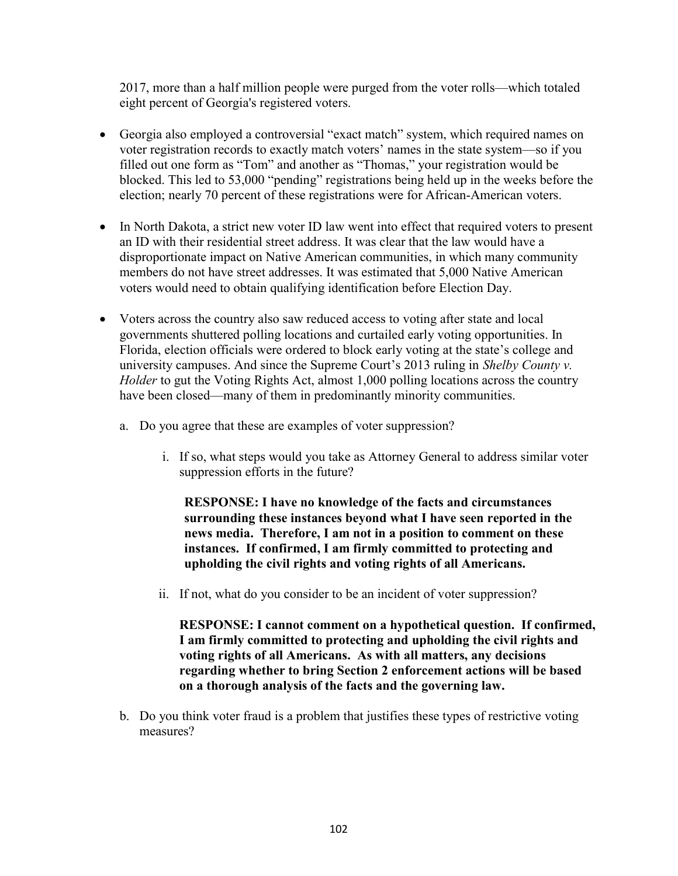2017, more than a half million people were purged from the voter rolls—which totaled eight percent of Georgia's registered voters.

- Georgia also employed a controversial "exact match" system, which required names on voter registration records to exactly match voters' names in the state system—so if you filled out one form as "Tom" and another as "Thomas," your registration would be blocked. This led to 53,000 "pending" registrations being held up in the weeks before the election; nearly 70 percent of these registrations were for African-American voters.
- In North Dakota, a strict new voter ID law went into effect that required voters to present an ID with their residential street address. It was clear that the law would have a disproportionate impact on Native American communities, in which many community members do not have street addresses. It was estimated that 5,000 Native American voters would need to obtain qualifying identification before Election Day.
- Voters across the country also saw reduced access to voting after state and local governments shuttered polling locations and curtailed early voting opportunities. In Florida, election officials were ordered to block early voting at the state's college and university campuses. And since the Supreme Court's 2013 ruling in Shelby County v. Holder to gut the Voting Rights Act, almost 1,000 polling locations across the country have been closed—many of them in predominantly minority communities.
	- a. Do you agree that these are examples of voter suppression?
		- i. If so, what steps would you take as Attorney General to address similar voter suppression efforts in the future?

RESPONSE: I have no knowledge of the facts and circumstances surrounding these instances beyond what I have seen reported in the news media. Therefore, I am not in a position to comment on these instances. If confirmed, I am firmly committed to protecting and upholding the civil rights and voting rights of all Americans.

ii. If not, what do you consider to be an incident of voter suppression?

RESPONSE: I cannot comment on a hypothetical question. If confirmed, I am firmly committed to protecting and upholding the civil rights and voting rights of all Americans. As with all matters, any decisions regarding whether to bring Section 2 enforcement actions will be based on a thorough analysis of the facts and the governing law.

b. Do you think voter fraud is a problem that justifies these types of restrictive voting measures?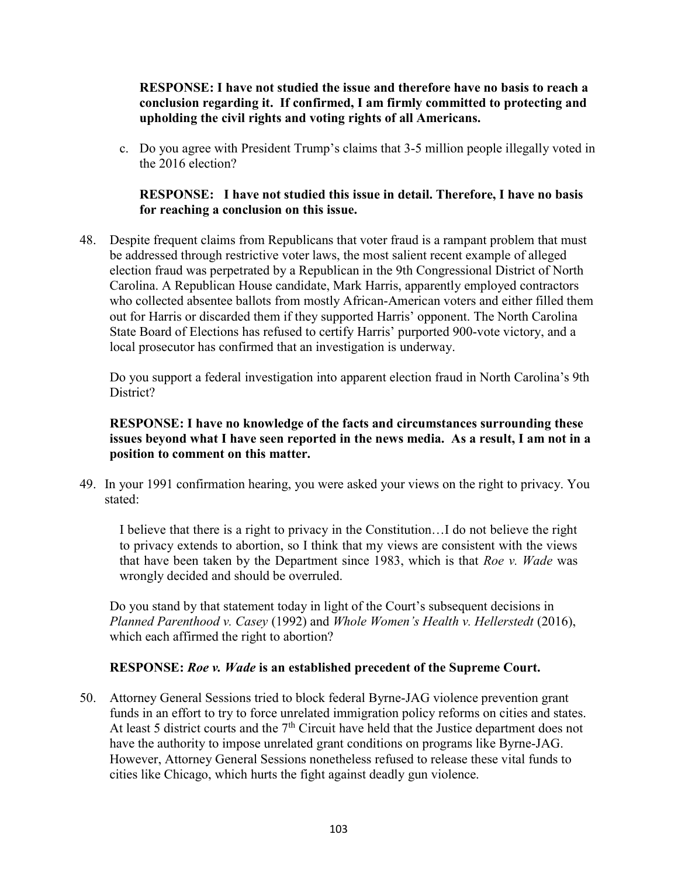RESPONSE: I have not studied the issue and therefore have no basis to reach a conclusion regarding it. If confirmed, I am firmly committed to protecting and upholding the civil rights and voting rights of all Americans.

c. Do you agree with President Trump's claims that 3-5 million people illegally voted in the 2016 election?

## RESPONSE: I have not studied this issue in detail. Therefore, I have no basis for reaching a conclusion on this issue.

48. Despite frequent claims from Republicans that voter fraud is a rampant problem that must be addressed through restrictive voter laws, the most salient recent example of alleged election fraud was perpetrated by a Republican in the 9th Congressional District of North Carolina. A Republican House candidate, Mark Harris, apparently employed contractors who collected absentee ballots from mostly African-American voters and either filled them out for Harris or discarded them if they supported Harris' opponent. The North Carolina State Board of Elections has refused to certify Harris' purported 900-vote victory, and a local prosecutor has confirmed that an investigation is underway.

Do you support a federal investigation into apparent election fraud in North Carolina's 9th District?

## RESPONSE: I have no knowledge of the facts and circumstances surrounding these issues beyond what I have seen reported in the news media. As a result, I am not in a position to comment on this matter.

49. In your 1991 confirmation hearing, you were asked your views on the right to privacy. You stated:

I believe that there is a right to privacy in the Constitution…I do not believe the right to privacy extends to abortion, so I think that my views are consistent with the views that have been taken by the Department since 1983, which is that Roe v. Wade was wrongly decided and should be overruled.

Do you stand by that statement today in light of the Court's subsequent decisions in Planned Parenthood v. Casey (1992) and Whole Women's Health v. Hellerstedt (2016), which each affirmed the right to abortion?

## RESPONSE: Roe v. Wade is an established precedent of the Supreme Court.

50. Attorney General Sessions tried to block federal Byrne-JAG violence prevention grant funds in an effort to try to force unrelated immigration policy reforms on cities and states. At least 5 district courts and the  $7<sup>th</sup>$  Circuit have held that the Justice department does not have the authority to impose unrelated grant conditions on programs like Byrne-JAG. However, Attorney General Sessions nonetheless refused to release these vital funds to cities like Chicago, which hurts the fight against deadly gun violence.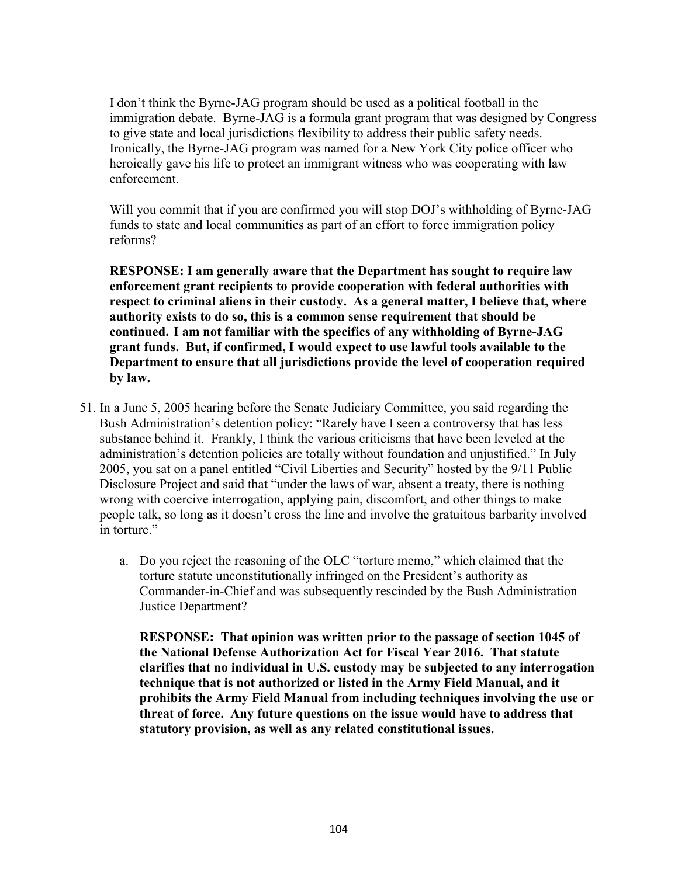I don't think the Byrne-JAG program should be used as a political football in the immigration debate. Byrne-JAG is a formula grant program that was designed by Congress to give state and local jurisdictions flexibility to address their public safety needs. Ironically, the Byrne-JAG program was named for a New York City police officer who heroically gave his life to protect an immigrant witness who was cooperating with law enforcement.

Will you commit that if you are confirmed you will stop DOJ's withholding of Byrne-JAG funds to state and local communities as part of an effort to force immigration policy reforms?

RESPONSE: I am generally aware that the Department has sought to require law enforcement grant recipients to provide cooperation with federal authorities with respect to criminal aliens in their custody. As a general matter, I believe that, where authority exists to do so, this is a common sense requirement that should be continued. I am not familiar with the specifics of any withholding of Byrne-JAG grant funds. But, if confirmed, I would expect to use lawful tools available to the Department to ensure that all jurisdictions provide the level of cooperation required by law.

- 51. In a June 5, 2005 hearing before the Senate Judiciary Committee, you said regarding the Bush Administration's detention policy: "Rarely have I seen a controversy that has less substance behind it. Frankly, I think the various criticisms that have been leveled at the administration's detention policies are totally without foundation and unjustified." In July 2005, you sat on a panel entitled "Civil Liberties and Security" hosted by the 9/11 Public Disclosure Project and said that "under the laws of war, absent a treaty, there is nothing wrong with coercive interrogation, applying pain, discomfort, and other things to make people talk, so long as it doesn't cross the line and involve the gratuitous barbarity involved in torture."
	- a. Do you reject the reasoning of the OLC "torture memo," which claimed that the torture statute unconstitutionally infringed on the President's authority as Commander-in-Chief and was subsequently rescinded by the Bush Administration Justice Department?

RESPONSE: That opinion was written prior to the passage of section 1045 of the National Defense Authorization Act for Fiscal Year 2016. That statute clarifies that no individual in U.S. custody may be subjected to any interrogation technique that is not authorized or listed in the Army Field Manual, and it prohibits the Army Field Manual from including techniques involving the use or threat of force. Any future questions on the issue would have to address that statutory provision, as well as any related constitutional issues.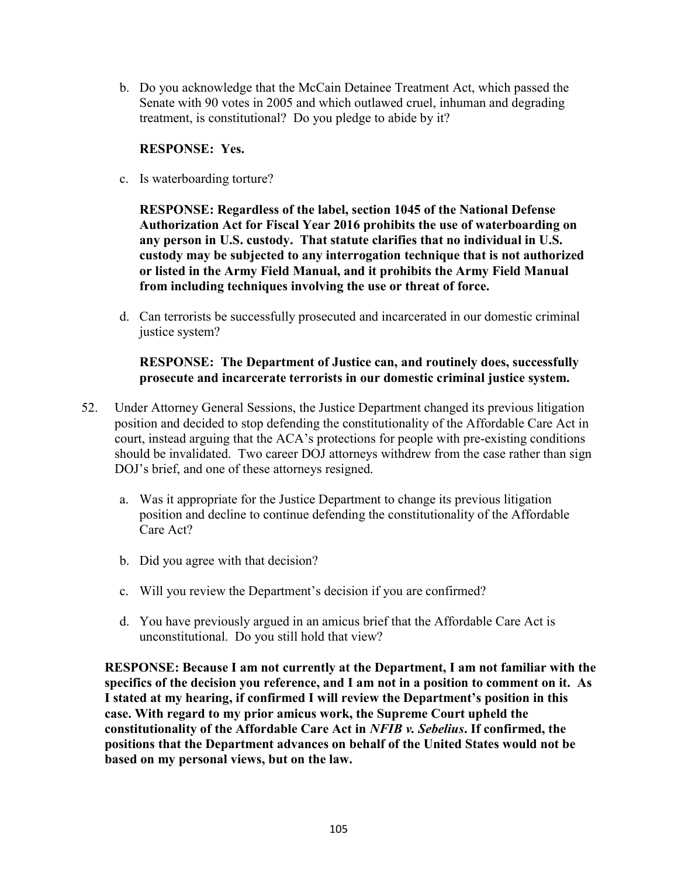b. Do you acknowledge that the McCain Detainee Treatment Act, which passed the Senate with 90 votes in 2005 and which outlawed cruel, inhuman and degrading treatment, is constitutional? Do you pledge to abide by it?

## RESPONSE: Yes.

c. Is waterboarding torture?

RESPONSE: Regardless of the label, section 1045 of the National Defense Authorization Act for Fiscal Year 2016 prohibits the use of waterboarding on any person in U.S. custody. That statute clarifies that no individual in U.S. custody may be subjected to any interrogation technique that is not authorized or listed in the Army Field Manual, and it prohibits the Army Field Manual from including techniques involving the use or threat of force.

d. Can terrorists be successfully prosecuted and incarcerated in our domestic criminal justice system?

## RESPONSE: The Department of Justice can, and routinely does, successfully prosecute and incarcerate terrorists in our domestic criminal justice system.

- 52. Under Attorney General Sessions, the Justice Department changed its previous litigation position and decided to stop defending the constitutionality of the Affordable Care Act in court, instead arguing that the ACA's protections for people with pre-existing conditions should be invalidated. Two career DOJ attorneys withdrew from the case rather than sign DOJ's brief, and one of these attorneys resigned.
	- a. Was it appropriate for the Justice Department to change its previous litigation position and decline to continue defending the constitutionality of the Affordable Care Act?
	- b. Did you agree with that decision?
	- c. Will you review the Department's decision if you are confirmed?
	- d. You have previously argued in an amicus brief that the Affordable Care Act is unconstitutional. Do you still hold that view?

RESPONSE: Because I am not currently at the Department, I am not familiar with the specifics of the decision you reference, and I am not in a position to comment on it. As I stated at my hearing, if confirmed I will review the Department's position in this case. With regard to my prior amicus work, the Supreme Court upheld the constitutionality of the Affordable Care Act in NFIB v. Sebelius. If confirmed, the positions that the Department advances on behalf of the United States would not be based on my personal views, but on the law.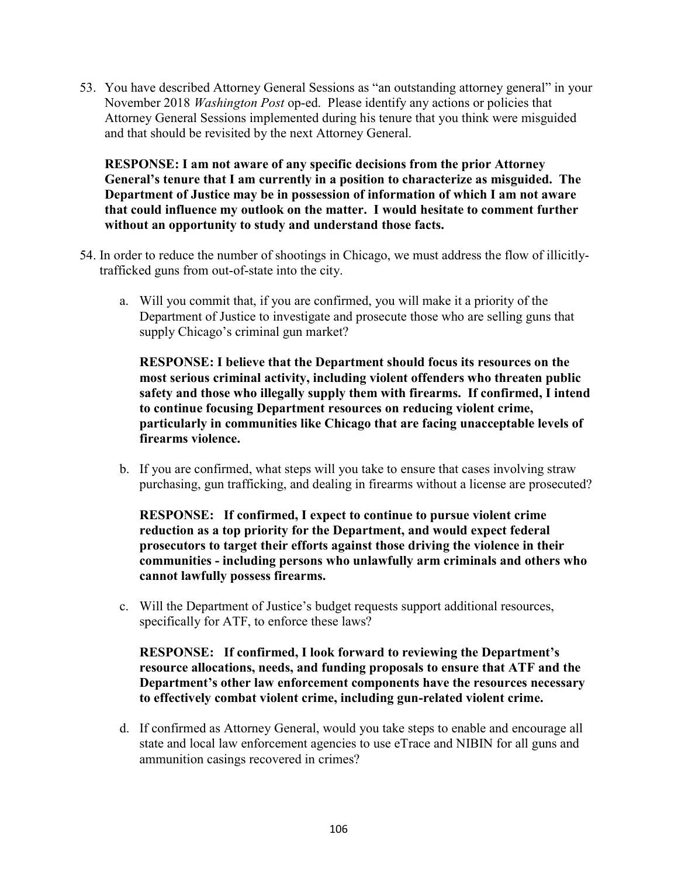53. You have described Attorney General Sessions as "an outstanding attorney general" in your November 2018 Washington Post op-ed. Please identify any actions or policies that Attorney General Sessions implemented during his tenure that you think were misguided and that should be revisited by the next Attorney General.

RESPONSE: I am not aware of any specific decisions from the prior Attorney General's tenure that I am currently in a position to characterize as misguided. The Department of Justice may be in possession of information of which I am not aware that could influence my outlook on the matter. I would hesitate to comment further without an opportunity to study and understand those facts.

- 54. In order to reduce the number of shootings in Chicago, we must address the flow of illicitlytrafficked guns from out-of-state into the city.
	- a. Will you commit that, if you are confirmed, you will make it a priority of the Department of Justice to investigate and prosecute those who are selling guns that supply Chicago's criminal gun market?

RESPONSE: I believe that the Department should focus its resources on the most serious criminal activity, including violent offenders who threaten public safety and those who illegally supply them with firearms. If confirmed, I intend to continue focusing Department resources on reducing violent crime, particularly in communities like Chicago that are facing unacceptable levels of firearms violence.

b. If you are confirmed, what steps will you take to ensure that cases involving straw purchasing, gun trafficking, and dealing in firearms without a license are prosecuted?

RESPONSE: If confirmed, I expect to continue to pursue violent crime reduction as a top priority for the Department, and would expect federal prosecutors to target their efforts against those driving the violence in their communities - including persons who unlawfully arm criminals and others who cannot lawfully possess firearms.

c. Will the Department of Justice's budget requests support additional resources, specifically for ATF, to enforce these laws?

RESPONSE: If confirmed, I look forward to reviewing the Department's resource allocations, needs, and funding proposals to ensure that ATF and the Department's other law enforcement components have the resources necessary to effectively combat violent crime, including gun-related violent crime.

d. If confirmed as Attorney General, would you take steps to enable and encourage all state and local law enforcement agencies to use eTrace and NIBIN for all guns and ammunition casings recovered in crimes?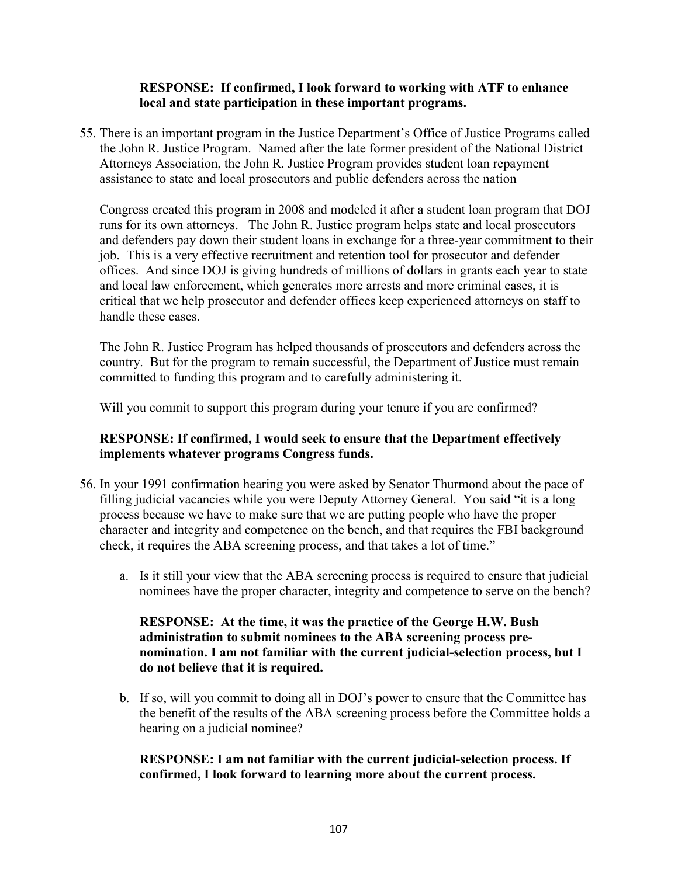## RESPONSE: If confirmed, I look forward to working with ATF to enhance local and state participation in these important programs.

55. There is an important program in the Justice Department's Office of Justice Programs called the John R. Justice Program. Named after the late former president of the National District Attorneys Association, the John R. Justice Program provides student loan repayment assistance to state and local prosecutors and public defenders across the nation

Congress created this program in 2008 and modeled it after a student loan program that DOJ runs for its own attorneys. The John R. Justice program helps state and local prosecutors and defenders pay down their student loans in exchange for a three-year commitment to their job. This is a very effective recruitment and retention tool for prosecutor and defender offices. And since DOJ is giving hundreds of millions of dollars in grants each year to state and local law enforcement, which generates more arrests and more criminal cases, it is critical that we help prosecutor and defender offices keep experienced attorneys on staff to handle these cases.

The John R. Justice Program has helped thousands of prosecutors and defenders across the country. But for the program to remain successful, the Department of Justice must remain committed to funding this program and to carefully administering it.

Will you commit to support this program during your tenure if you are confirmed?

## RESPONSE: If confirmed, I would seek to ensure that the Department effectively implements whatever programs Congress funds.

- 56. In your 1991 confirmation hearing you were asked by Senator Thurmond about the pace of filling judicial vacancies while you were Deputy Attorney General. You said "it is a long process because we have to make sure that we are putting people who have the proper character and integrity and competence on the bench, and that requires the FBI background check, it requires the ABA screening process, and that takes a lot of time."
	- a. Is it still your view that the ABA screening process is required to ensure that judicial nominees have the proper character, integrity and competence to serve on the bench?

## RESPONSE: At the time, it was the practice of the George H.W. Bush administration to submit nominees to the ABA screening process prenomination. I am not familiar with the current judicial-selection process, but I do not believe that it is required.

b. If so, will you commit to doing all in DOJ's power to ensure that the Committee has the benefit of the results of the ABA screening process before the Committee holds a hearing on a judicial nominee?

## RESPONSE: I am not familiar with the current judicial-selection process. If confirmed, I look forward to learning more about the current process.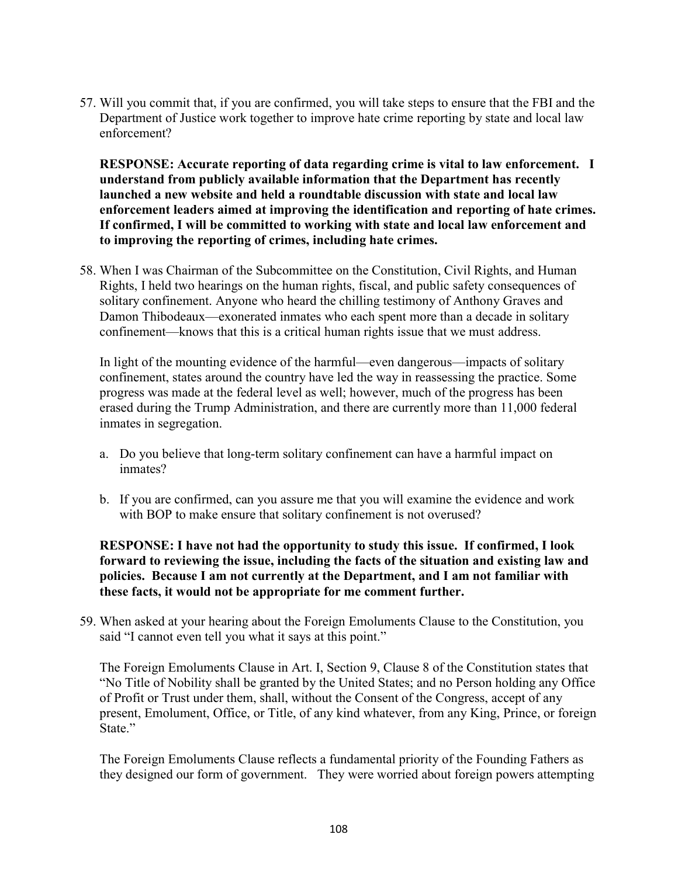57. Will you commit that, if you are confirmed, you will take steps to ensure that the FBI and the Department of Justice work together to improve hate crime reporting by state and local law enforcement?

RESPONSE: Accurate reporting of data regarding crime is vital to law enforcement. I understand from publicly available information that the Department has recently launched a new website and held a roundtable discussion with state and local law enforcement leaders aimed at improving the identification and reporting of hate crimes. If confirmed, I will be committed to working with state and local law enforcement and to improving the reporting of crimes, including hate crimes.

58. When I was Chairman of the Subcommittee on the Constitution, Civil Rights, and Human Rights, I held two hearings on the human rights, fiscal, and public safety consequences of solitary confinement. Anyone who heard the chilling testimony of Anthony Graves and Damon Thibodeaux—exonerated inmates who each spent more than a decade in solitary confinement—knows that this is a critical human rights issue that we must address.

In light of the mounting evidence of the harmful—even dangerous—impacts of solitary confinement, states around the country have led the way in reassessing the practice. Some progress was made at the federal level as well; however, much of the progress has been erased during the Trump Administration, and there are currently more than 11,000 federal inmates in segregation.

- a. Do you believe that long-term solitary confinement can have a harmful impact on inmates?
- b. If you are confirmed, can you assure me that you will examine the evidence and work with BOP to make ensure that solitary confinement is not overused?

## RESPONSE: I have not had the opportunity to study this issue. If confirmed, I look forward to reviewing the issue, including the facts of the situation and existing law and policies. Because I am not currently at the Department, and I am not familiar with these facts, it would not be appropriate for me comment further.

59. When asked at your hearing about the Foreign Emoluments Clause to the Constitution, you said "I cannot even tell you what it says at this point."

The Foreign Emoluments Clause in Art. I, Section 9, Clause 8 of the Constitution states that "No Title of Nobility shall be granted by the United States; and no Person holding any Office of Profit or Trust under them, shall, without the Consent of the Congress, accept of any present, Emolument, Office, or Title, of any kind whatever, from any King, Prince, or foreign State."

The Foreign Emoluments Clause reflects a fundamental priority of the Founding Fathers as they designed our form of government. They were worried about foreign powers attempting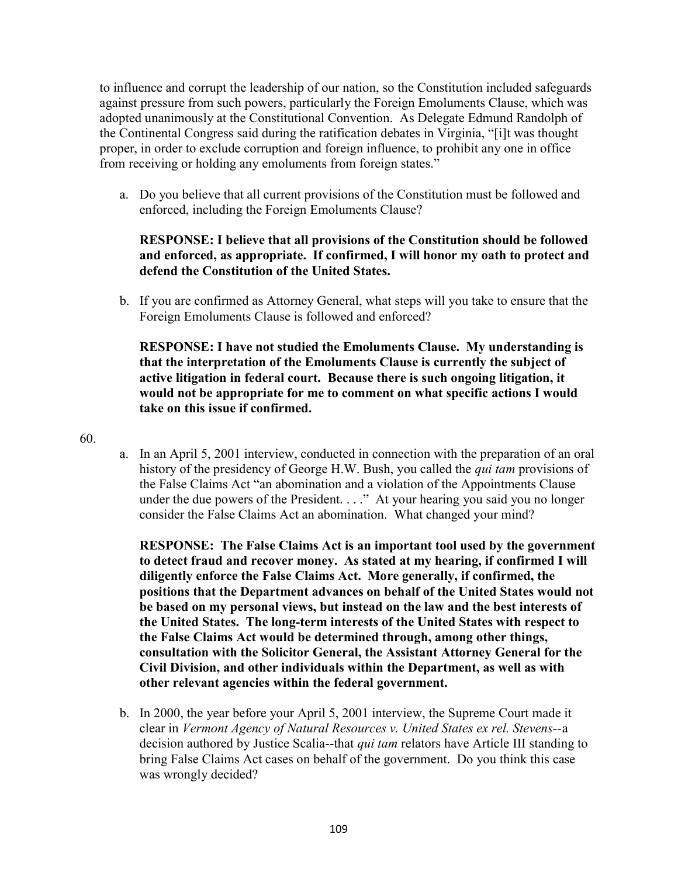to influence and corrupt the leadership of our nation, so the Constitution included safeguards against pressure from such powers, particularly the Foreign Emoluments Clause, which was adopted unanimously at the Constitutional Convention. As Delegate Edmund Randolph of the Continental Congress said during the ratification debates in Virginia, "[i]t was thought proper, in order to exclude corruption and foreign influence, to prohibit any one in office from receiving or holding any emoluments from foreign states."

a. Do you believe that all current provisions of the Constitution must be followed and enforced, including the Foreign Emoluments Clause?

## RESPONSE: I believe that all provisions of the Constitution should be followed and enforced, as appropriate. If confirmed, I will honor my oath to protect and defend the Constitution of the United States.

b. If you are confirmed as Attorney General, what steps will you take to ensure that the Foreign Emoluments Clause is followed and enforced?

RESPONSE: I have not studied the Emoluments Clause. My understanding is that the interpretation of the Emoluments Clause is currently the subject of active litigation in federal court. Because there is such ongoing litigation, it would not be appropriate for me to comment on what specific actions I would take on this issue if confirmed.

#### 60.

a. In an April 5, 2001 interview, conducted in connection with the preparation of an oral history of the presidency of George H.W. Bush, you called the qui tam provisions of the False Claims Act "an abomination and a violation of the Appointments Clause under the due powers of the President. . . ." At your hearing you said you no longer consider the False Claims Act an abomination. What changed your mind?

RESPONSE: The False Claims Act is an important tool used by the government to detect fraud and recover money. As stated at my hearing, if confirmed I will diligently enforce the False Claims Act. More generally, if confirmed, the positions that the Department advances on behalf of the United States would not be based on my personal views, but instead on the law and the best interests of the United States. The long-term interests of the United States with respect to the False Claims Act would be determined through, among other things, consultation with the Solicitor General, the Assistant Attorney General for the Civil Division, and other individuals within the Department, as well as with other relevant agencies within the federal government.

b. In 2000, the year before your April 5, 2001 interview, the Supreme Court made it clear in Vermont Agency of Natural Resources v. United States ex rel. Stevens--a decision authored by Justice Scalia--that *qui tam* relators have Article III standing to bring False Claims Act cases on behalf of the government. Do you think this case was wrongly decided?